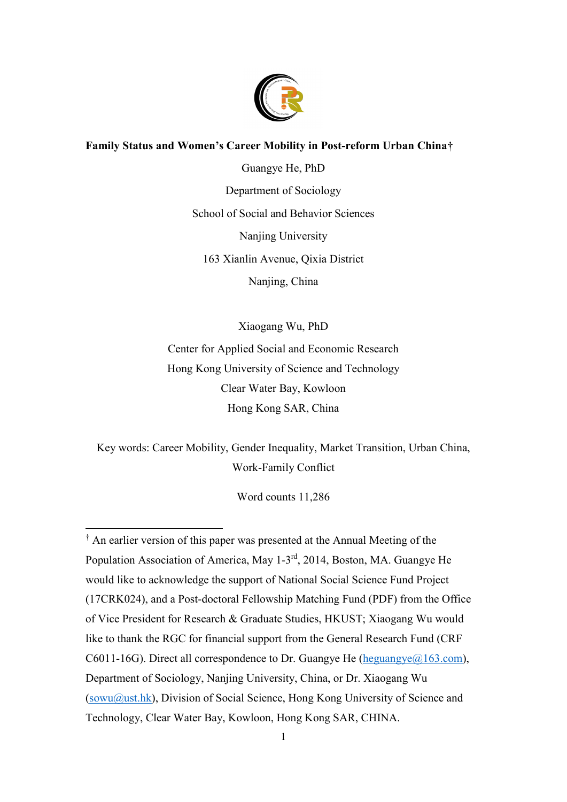

# **Family Status and Women's Career Mobility in Post-reform Urban China[†](#page-0-0)**

Guangye He, PhD Department of Sociology School of Social and Behavior Sciences Nanjing University 163 Xianlin Avenue, Qixia District Nanjing, China

Xiaogang Wu, PhD Center for Applied Social and Economic Research Hong Kong University of Science and Technology Clear Water Bay, Kowloon Hong Kong SAR, China

Key words: Career Mobility, Gender Inequality, Market Transition, Urban China, Work-Family Conflict

Word counts 11,286

l

<span id="page-0-0"></span><sup>†</sup> An earlier version of this paper was presented at the Annual Meeting of the Population Association of America, May 1-3rd, 2014, Boston, MA. Guangye He would like to acknowledge the support of National Social Science Fund Project (17CRK024), and a Post-doctoral Fellowship Matching Fund (PDF) from the Office of Vice President for Research & Graduate Studies, HKUST; Xiaogang Wu would like to thank the RGC for financial support from the General Research Fund (CRF C6011-16G). Direct all correspondence to Dr. Guangye He (heguangye $(a)$ 163.com), Department of Sociology, Nanjing University, China, or Dr. Xiaogang Wu [\(sowu@ust.hk\)](mailto:sowu@ust.hk), Division of Social Science, Hong Kong University of Science and Technology, Clear Water Bay, Kowloon, Hong Kong SAR, CHINA.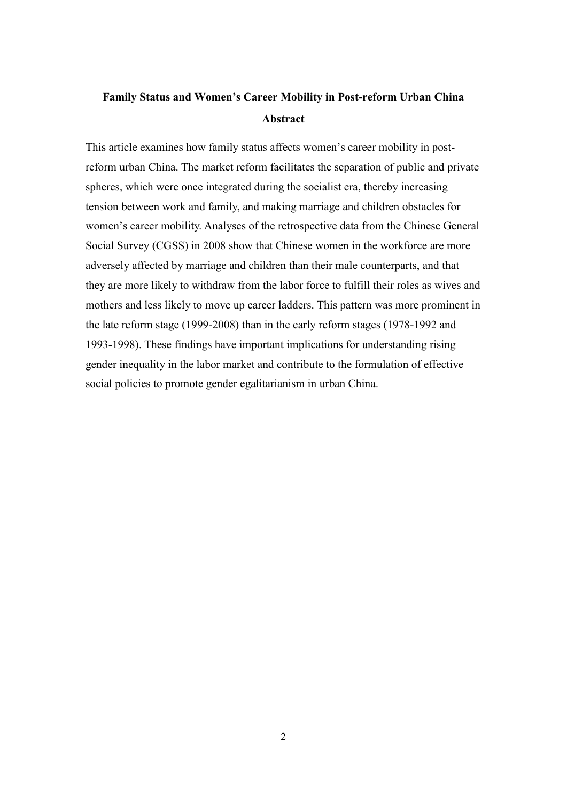# **Family Status and Women's Career Mobility in Post-reform Urban China Abstract**

This article examines how family status affects women's career mobility in postreform urban China. The market reform facilitates the separation of public and private spheres, which were once integrated during the socialist era, thereby increasing tension between work and family, and making marriage and children obstacles for women's career mobility. Analyses of the retrospective data from the Chinese General Social Survey (CGSS) in 2008 show that Chinese women in the workforce are more adversely affected by marriage and children than their male counterparts, and that they are more likely to withdraw from the labor force to fulfill their roles as wives and mothers and less likely to move up career ladders. This pattern was more prominent in the late reform stage (1999-2008) than in the early reform stages (1978-1992 and 1993-1998). These findings have important implications for understanding rising gender inequality in the labor market and contribute to the formulation of effective social policies to promote gender egalitarianism in urban China.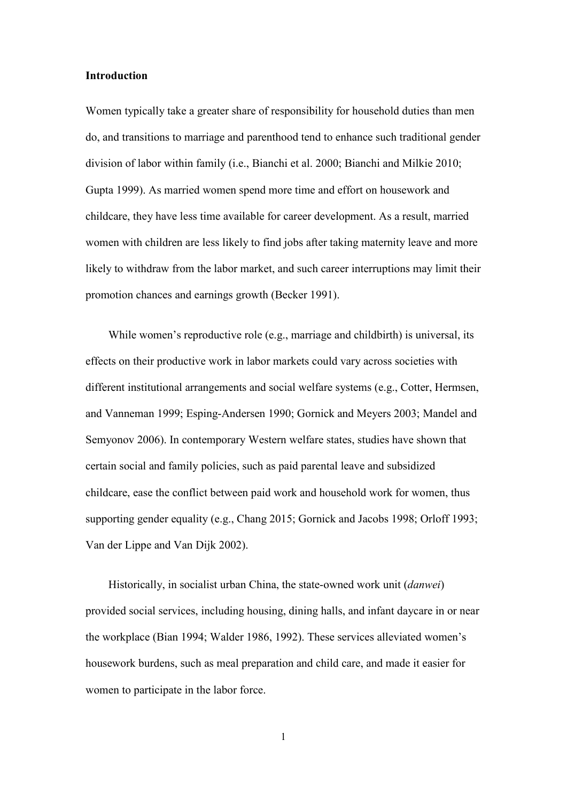#### **Introduction**

Women typically take a greater share of responsibility for household duties than men do, and transitions to marriage and parenthood tend to enhance such traditional gender division of labor within family (i.e., Bianchi et al. 2000; Bianchi and Milkie 2010; Gupta 1999). As married women spend more time and effort on housework and childcare, they have less time available for career development. As a result, married women with children are less likely to find jobs after taking maternity leave and more likely to withdraw from the labor market, and such career interruptions may limit their promotion chances and earnings growth (Becker 1991).

While women's reproductive role (e.g., marriage and childbirth) is universal, its effects on their productive work in labor markets could vary across societies with different institutional arrangements and social welfare systems (e.g., Cotter, Hermsen, and Vanneman 1999; Esping-Andersen 1990; Gornick and Meyers 2003; Mandel and Semyonov 2006). In contemporary Western welfare states, studies have shown that certain social and family policies, such as paid parental leave and subsidized childcare, ease the conflict between paid work and household work for women, thus supporting gender equality (e.g., Chang 2015; Gornick and Jacobs 1998; Orloff 1993; Van der Lippe and Van Dijk 2002).

Historically, in socialist urban China, the state-owned work unit (*danwei*) provided social services, including housing, dining halls, and infant daycare in or near the workplace (Bian 1994; Walder 1986, 1992). These services alleviated women's housework burdens, such as meal preparation and child care, and made it easier for women to participate in the labor force.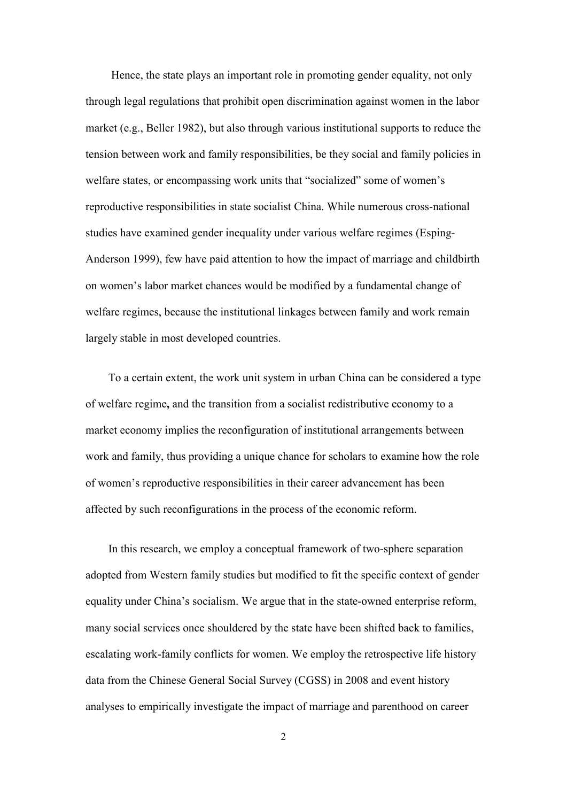Hence, the state plays an important role in promoting gender equality, not only through legal regulations that prohibit open discrimination against women in the labor market (e.g., Beller 1982), but also through various institutional supports to reduce the tension between work and family responsibilities, be they social and family policies in welfare states, or encompassing work units that "socialized" some of women's reproductive responsibilities in state socialist China. While numerous cross-national studies have examined gender inequality under various welfare regimes (Esping-Anderson 1999), few have paid attention to how the impact of marriage and childbirth on women's labor market chances would be modified by a fundamental change of welfare regimes, because the institutional linkages between family and work remain largely stable in most developed countries.

To a certain extent, the work unit system in urban China can be considered a type of welfare regime**,** and the transition from a socialist redistributive economy to a market economy implies the reconfiguration of institutional arrangements between work and family, thus providing a unique chance for scholars to examine how the role of women's reproductive responsibilities in their career advancement has been affected by such reconfigurations in the process of the economic reform.

In this research, we employ a conceptual framework of two-sphere separation adopted from Western family studies but modified to fit the specific context of gender equality under China's socialism. We argue that in the state-owned enterprise reform, many social services once shouldered by the state have been shifted back to families, escalating work-family conflicts for women. We employ the retrospective life history data from the Chinese General Social Survey (CGSS) in 2008 and event history analyses to empirically investigate the impact of marriage and parenthood on career

 $\overline{2}$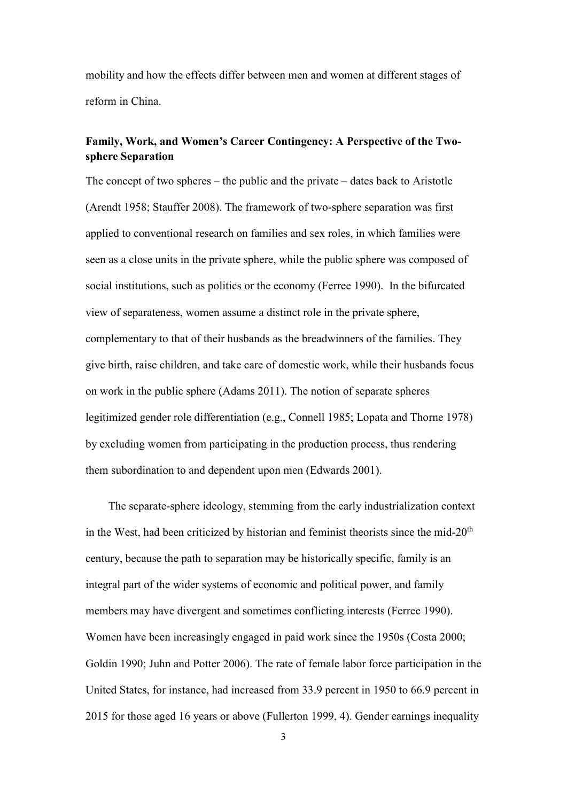mobility and how the effects differ between men and women at different stages of reform in China.

# **Family, Work, and Women's Career Contingency: A Perspective of the Twosphere Separation**

The concept of two spheres – the public and the private – dates back to Aristotle (Arendt 1958; Stauffer 2008). The framework of two-sphere separation was first applied to conventional research on families and sex roles, in which families were seen as a close units in the private sphere, while the public sphere was composed of social institutions, such as politics or the economy (Ferree 1990). In the bifurcated view of separateness, women assume a distinct role in the private sphere, complementary to that of their husbands as the breadwinners of the families. They give birth, raise children, and take care of domestic work, while their husbands focus on work in the public sphere (Adams 2011). The notion of separate spheres legitimized gender role differentiation (e.g., Connell 1985; Lopata and Thorne 1978) by excluding women from participating in the production process, thus rendering them subordination to and dependent upon men (Edwards 2001).

The separate-sphere ideology, stemming from the early industrialization context in the West, had been criticized by historian and feminist theorists since the mid-20<sup>th</sup> century, because the path to separation may be historically specific, family is an integral part of the wider systems of economic and political power, and family members may have divergent and sometimes conflicting interests (Ferree 1990). Women have been increasingly engaged in paid work since the 1950s (Costa 2000; Goldin 1990; Juhn and Potter 2006). The rate of female labor force participation in the United States, for instance, had increased from 33.9 percent in 1950 to 66.9 percent in 2015 for those aged 16 years or above (Fullerton 1999, 4). Gender earnings inequality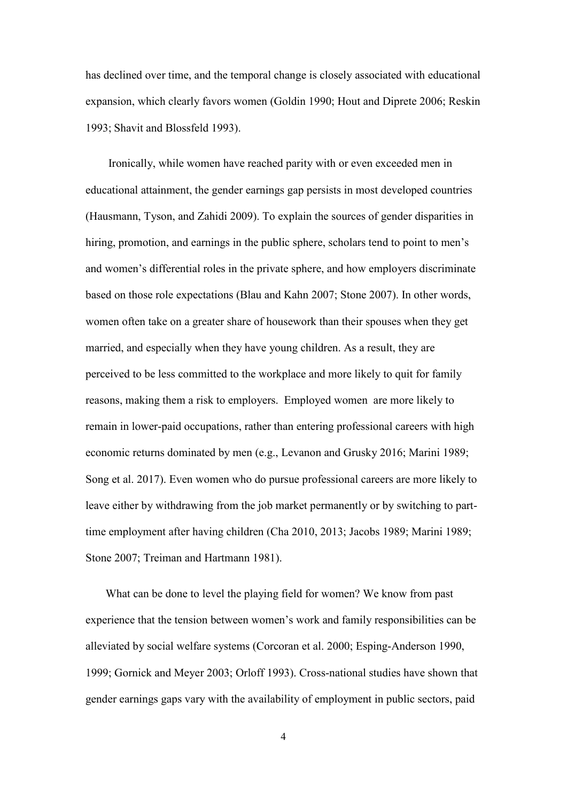has declined over time, and the temporal change is closely associated with educational expansion, which clearly favors women (Goldin 1990; Hout and Diprete 2006; Reskin 1993; Shavit and Blossfeld 1993).

Ironically, while women have reached parity with or even exceeded men in educational attainment, the gender earnings gap persists in most developed countries (Hausmann, Tyson, and Zahidi 2009). To explain the sources of gender disparities in hiring, promotion, and earnings in the public sphere, scholars tend to point to men's and women's differential roles in the private sphere, and how employers discriminate based on those role expectations (Blau and Kahn 2007; Stone 2007). In other words, women often take on a greater share of housework than their spouses when they get married, and especially when they have young children. As a result, they are perceived to be less committed to the workplace and more likely to quit for family reasons, making them a risk to employers. Employed women are more likely to remain in lower-paid occupations, rather than entering professional careers with high economic returns dominated by men (e.g., Levanon and Grusky 2016; Marini 1989; Song et al. 2017). Even women who do pursue professional careers are more likely to leave either by withdrawing from the job market permanently or by switching to parttime employment after having children (Cha 2010, 2013; Jacobs 1989; Marini 1989; Stone 2007; Treiman and Hartmann 1981).

 What can be done to level the playing field for women? We know from past experience that the tension between women's work and family responsibilities can be alleviated by social welfare systems (Corcoran et al. 2000; Esping-Anderson 1990, 1999; Gornick and Meyer 2003; Orloff 1993). Cross-national studies have shown that gender earnings gaps vary with the availability of employment in public sectors, paid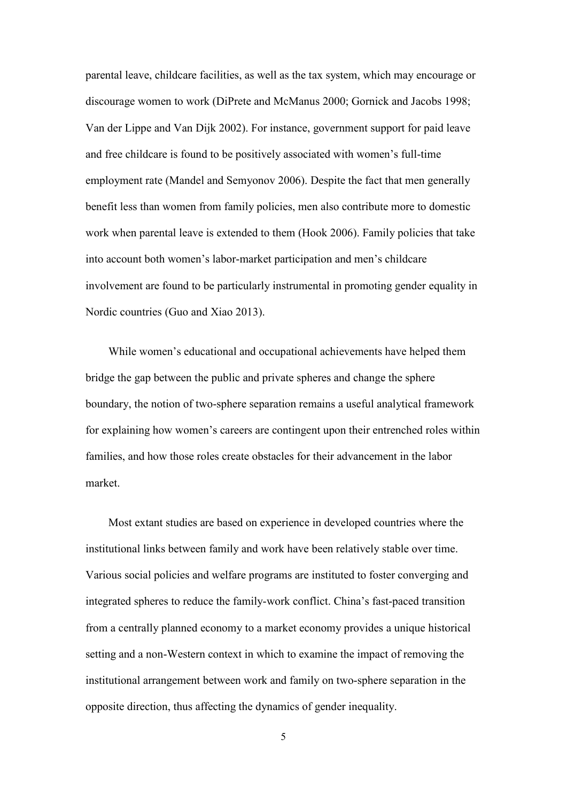parental leave, childcare facilities, as well as the tax system, which may encourage or discourage women to work (DiPrete and McManus 2000; Gornick and Jacobs 1998; Van der Lippe and Van Dijk 2002). For instance, government support for paid leave and free childcare is found to be positively associated with women's full-time employment rate (Mandel and Semyonov 2006). Despite the fact that men generally benefit less than women from family policies, men also contribute more to domestic work when parental leave is extended to them (Hook 2006). Family policies that take into account both women's labor-market participation and men's childcare involvement are found to be particularly instrumental in promoting gender equality in Nordic countries (Guo and Xiao 2013).

While women's educational and occupational achievements have helped them bridge the gap between the public and private spheres and change the sphere boundary, the notion of two-sphere separation remains a useful analytical framework for explaining how women's careers are contingent upon their entrenched roles within families, and how those roles create obstacles for their advancement in the labor market.

Most extant studies are based on experience in developed countries where the institutional links between family and work have been relatively stable over time. Various social policies and welfare programs are instituted to foster converging and integrated spheres to reduce the family-work conflict. China's fast-paced transition from a centrally planned economy to a market economy provides a unique historical setting and a non-Western context in which to examine the impact of removing the institutional arrangement between work and family on two-sphere separation in the opposite direction, thus affecting the dynamics of gender inequality.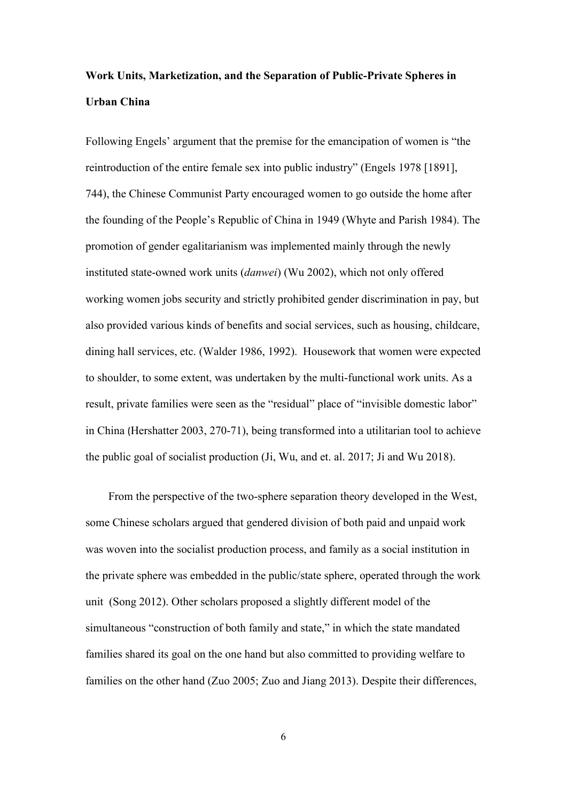# **Work Units, Marketization, and the Separation of Public-Private Spheres in Urban China**

Following Engels' argument that the premise for the emancipation of women is "the reintroduction of the entire female sex into public industry" (Engels 1978 [1891], 744), the Chinese Communist Party encouraged women to go outside the home after the founding of the People's Republic of China in 1949 (Whyte and Parish 1984). The promotion of gender egalitarianism was implemented mainly through the newly instituted state-owned work units (*danwei*) (Wu 2002), which not only offered working women jobs security and strictly prohibited gender discrimination in pay, but also provided various kinds of benefits and social services, such as housing, childcare, dining hall services, etc. (Walder 1986, 1992). Housework that women were expected to shoulder, to some extent, was undertaken by the multi-functional work units. As a result, private families were seen as the "residual" place of "invisible domestic labor" in China (Hershatter 2003, 270-71), being transformed into a utilitarian tool to achieve the public goal of socialist production (Ji, Wu, and et. al. 2017; Ji and Wu 2018).

From the perspective of the two-sphere separation theory developed in the West, some Chinese scholars argued that gendered division of both paid and unpaid work was woven into the socialist production process, and family as a social institution in the private sphere was embedded in the public/state sphere, operated through the work unit (Song 2012). Other scholars proposed a slightly different model of the simultaneous "construction of both family and state," in which the state mandated families shared its goal on the one hand but also committed to providing welfare to families on the other hand (Zuo 2005; Zuo and Jiang 2013). Despite their differences,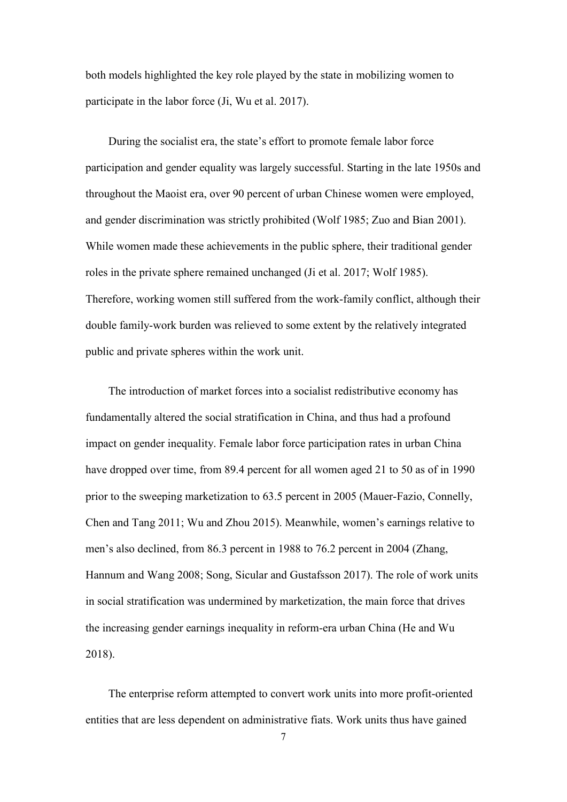both models highlighted the key role played by the state in mobilizing women to participate in the labor force (Ji, Wu et al. 2017).

During the socialist era, the state's effort to promote female labor force participation and gender equality was largely successful. Starting in the late 1950s and throughout the Maoist era, over 90 percent of urban Chinese women were employed, and gender discrimination was strictly prohibited (Wolf 1985; Zuo and Bian 2001). While women made these achievements in the public sphere, their traditional gender roles in the private sphere remained unchanged (Ji et al. 2017; Wolf 1985). Therefore, working women still suffered from the work-family conflict, although their double family-work burden was relieved to some extent by the relatively integrated public and private spheres within the work unit.

The introduction of market forces into a socialist redistributive economy has fundamentally altered the social stratification in China, and thus had a profound impact on gender inequality. Female labor force participation rates in urban China have dropped over time, from 89.4 percent for all women aged 21 to 50 as of in 1990 prior to the sweeping marketization to 63.5 percent in 2005 (Mauer-Fazio, Connelly, Chen and Tang 2011; Wu and Zhou 2015). Meanwhile, women's earnings relative to men's also declined, from 86.3 percent in 1988 to 76.2 percent in 2004 (Zhang, Hannum and Wang 2008; Song, Sicular and Gustafsson 2017). The role of work units in social stratification was undermined by marketization, the main force that drives the increasing gender earnings inequality in reform-era urban China (He and Wu 2018).

The enterprise reform attempted to convert work units into more profit-oriented entities that are less dependent on administrative fiats. Work units thus have gained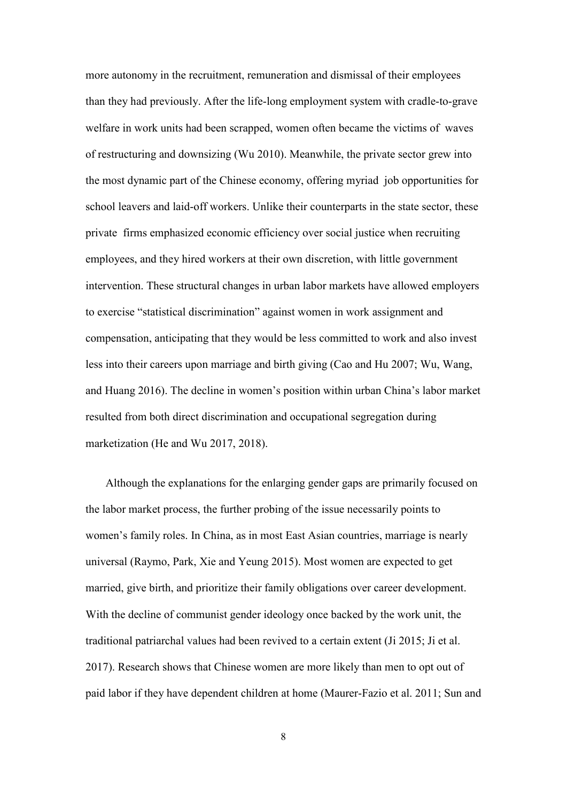more autonomy in the recruitment, remuneration and dismissal of their employees than they had previously. After the life-long employment system with cradle-to-grave welfare in work units had been scrapped, women often became the victims of waves of restructuring and downsizing (Wu 2010). Meanwhile, the private sector grew into the most dynamic part of the Chinese economy, offering myriad job opportunities for school leavers and laid-off workers. Unlike their counterparts in the state sector, these private firms emphasized economic efficiency over social justice when recruiting employees, and they hired workers at their own discretion, with little government intervention. These structural changes in urban labor markets have allowed employers to exercise "statistical discrimination" against women in work assignment and compensation, anticipating that they would be less committed to work and also invest less into their careers upon marriage and birth giving (Cao and Hu 2007; Wu, Wang, and Huang 2016). The decline in women's position within urban China's labor market resulted from both direct discrimination and occupational segregation during marketization (He and Wu 2017, 2018).

Although the explanations for the enlarging gender gaps are primarily focused on the labor market process, the further probing of the issue necessarily points to women's family roles. In China, as in most East Asian countries, marriage is nearly universal (Raymo, Park, Xie and Yeung 2015). Most women are expected to get married, give birth, and prioritize their family obligations over career development. With the decline of communist gender ideology once backed by the work unit, the traditional patriarchal values had been revived to a certain extent (Ji 2015; Ji et al. 2017). Research shows that Chinese women are more likely than men to opt out of paid labor if they have dependent children at home (Maurer-Fazio et al. 2011; Sun and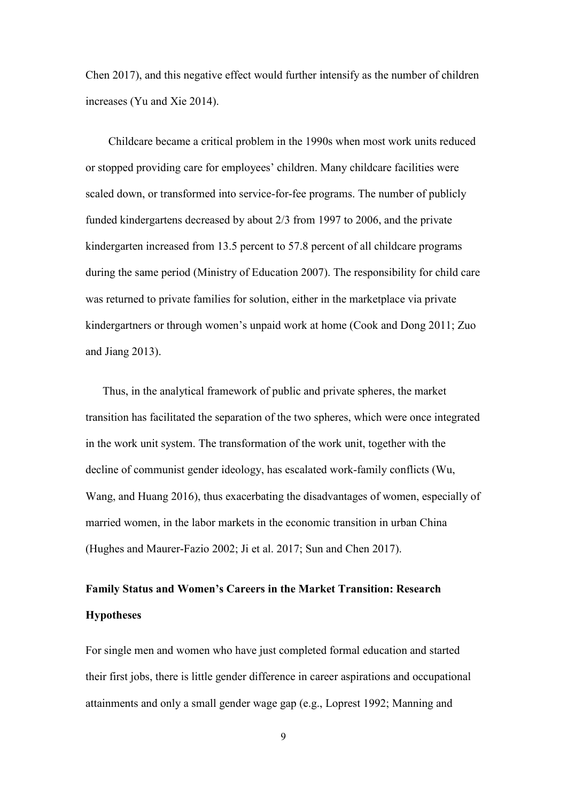Chen 2017), and this negative effect would further intensify as the number of children increases (Yu and Xie 2014).

Childcare became a critical problem in the 1990s when most work units reduced or stopped providing care for employees' children. Many childcare facilities were scaled down, or transformed into service-for-fee programs. The number of publicly funded kindergartens decreased by about 2/3 from 1997 to 2006, and the private kindergarten increased from 13.5 percent to 57.8 percent of all childcare programs during the same period (Ministry of Education 2007). The responsibility for child care was returned to private families for solution, either in the marketplace via private kindergartners or through women's unpaid work at home (Cook and Dong 2011; Zuo and Jiang 2013).

Thus, in the analytical framework of public and private spheres, the market transition has facilitated the separation of the two spheres, which were once integrated in the work unit system. The transformation of the work unit, together with the decline of communist gender ideology, has escalated work-family conflicts (Wu, Wang, and Huang 2016), thus exacerbating the disadvantages of women, especially of married women, in the labor markets in the economic transition in urban China (Hughes and Maurer-Fazio 2002; Ji et al. 2017; Sun and Chen 2017).

# **Family Status and Women's Careers in the Market Transition: Research Hypotheses**

For single men and women who have just completed formal education and started their first jobs, there is little gender difference in career aspirations and occupational attainments and only a small gender wage gap (e.g., Loprest 1992; Manning and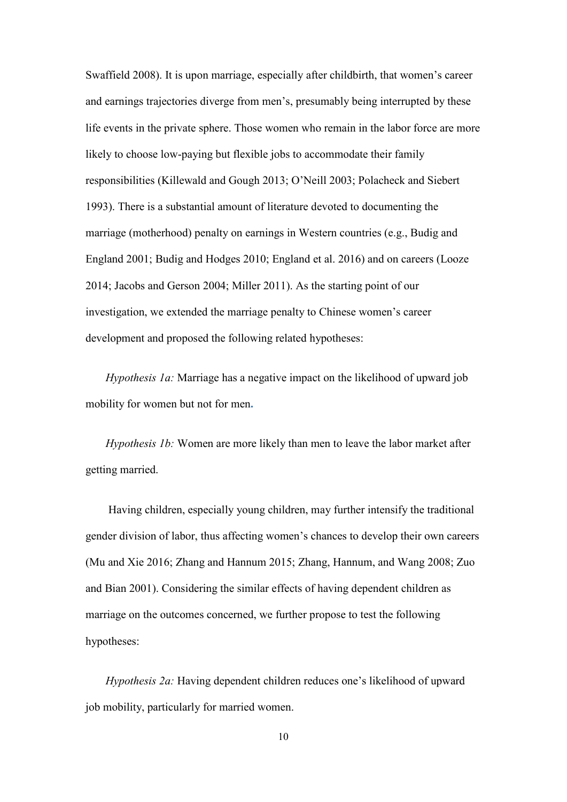Swaffield 2008). It is upon marriage, especially after childbirth, that women's career and earnings trajectories diverge from men's, presumably being interrupted by these life events in the private sphere. Those women who remain in the labor force are more likely to choose low-paying but flexible jobs to accommodate their family responsibilities (Killewald and Gough 2013; O'Neill 2003; Polacheck and Siebert 1993). There is a substantial amount of literature devoted to documenting the marriage (motherhood) penalty on earnings in Western countries (e.g., Budig and England 2001; Budig and Hodges 2010; England et al. 2016) and on careers (Looze 2014; Jacobs and Gerson 2004; Miller 2011). As the starting point of our investigation, we extended the marriage penalty to Chinese women's career development and proposed the following related hypotheses:

*Hypothesis 1a:* Marriage has a negative impact on the likelihood of upward job mobility for women but not for men**.**

*Hypothesis 1b:* Women are more likely than men to leave the labor market after getting married.

Having children, especially young children, may further intensify the traditional gender division of labor, thus affecting women's chances to develop their own careers (Mu and Xie 2016; Zhang and Hannum 2015; Zhang, Hannum, and Wang 2008; Zuo and Bian 2001). Considering the similar effects of having dependent children as marriage on the outcomes concerned, we further propose to test the following hypotheses:

*Hypothesis 2a:* Having dependent children reduces one's likelihood of upward job mobility, particularly for married women.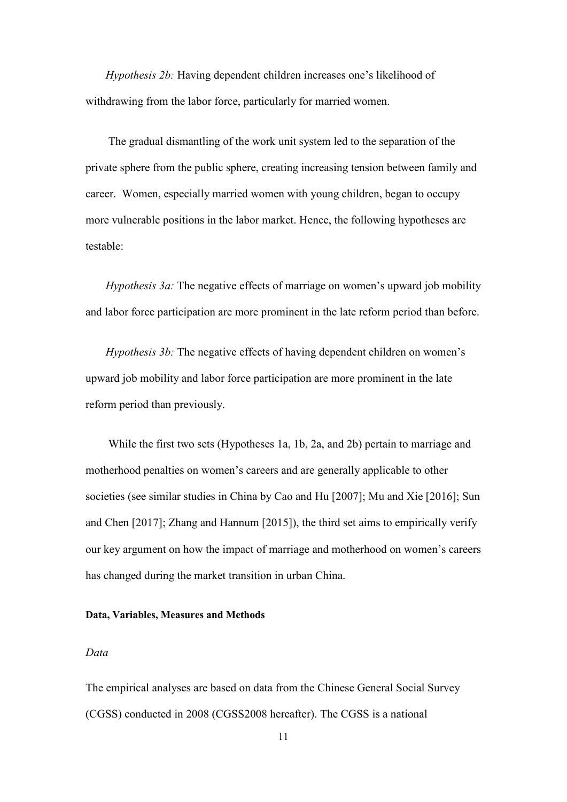*Hypothesis 2b:* Having dependent children increases one's likelihood of withdrawing from the labor force, particularly for married women.

The gradual dismantling of the work unit system led to the separation of the private sphere from the public sphere, creating increasing tension between family and career. Women, especially married women with young children, began to occupy more vulnerable positions in the labor market. Hence, the following hypotheses are testable:

*Hypothesis 3a:* The negative effects of marriage on women's upward job mobility and labor force participation are more prominent in the late reform period than before.

*Hypothesis 3b:* The negative effects of having dependent children on women's upward job mobility and labor force participation are more prominent in the late reform period than previously.

While the first two sets (Hypotheses 1a, 1b, 2a, and 2b) pertain to marriage and motherhood penalties on women's careers and are generally applicable to other societies (see similar studies in China by Cao and Hu [2007]; Mu and Xie [2016]; Sun and Chen [2017]; Zhang and Hannum [2015]), the third set aims to empirically verify our key argument on how the impact of marriage and motherhood on women's careers has changed during the market transition in urban China.

#### **Data, Variables, Measures and Methods**

### *Data*

The empirical analyses are based on data from the Chinese General Social Survey (CGSS) conducted in 2008 (CGSS2008 hereafter). The CGSS is a national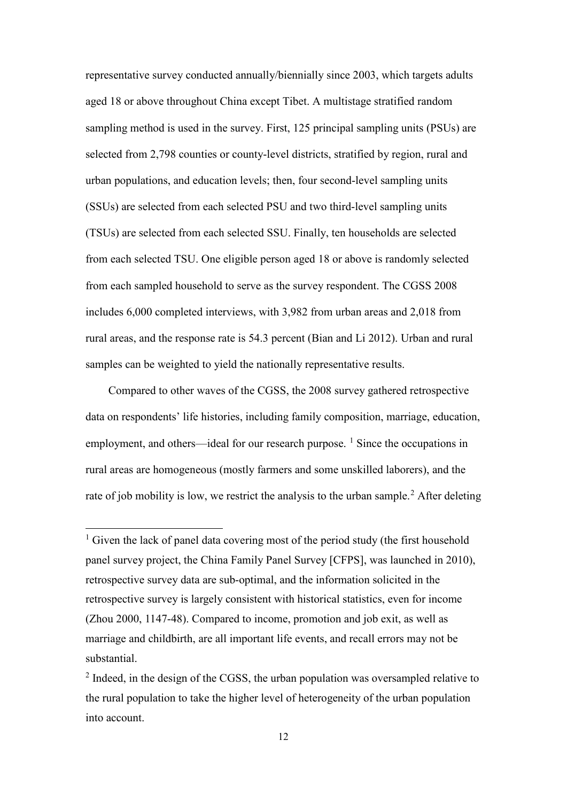representative survey conducted annually/biennially since 2003, which targets adults aged 18 or above throughout China except Tibet. A multistage stratified random sampling method is used in the survey. First, 125 principal sampling units (PSUs) are selected from 2,798 counties or county-level districts, stratified by region, rural and urban populations, and education levels; then, four second-level sampling units (SSUs) are selected from each selected PSU and two third-level sampling units (TSUs) are selected from each selected SSU. Finally, ten households are selected from each selected TSU. One eligible person aged 18 or above is randomly selected from each sampled household to serve as the survey respondent. The CGSS 2008 includes 6,000 completed interviews, with 3,982 from urban areas and 2,018 from rural areas, and the response rate is 54.3 percent (Bian and Li 2012). Urban and rural samples can be weighted to yield the nationally representative results.

Compared to other waves of the CGSS, the 2008 survey gathered retrospective data on respondents' life histories, including family composition, marriage, education, employment, and others—ideal for our research purpose.  $\frac{1}{1}$  $\frac{1}{1}$  $\frac{1}{1}$  Since the occupations in rural areas are homogeneous (mostly farmers and some unskilled laborers), and the rate of job mobility is low, we restrict the analysis to the urban sample.<sup>[2](#page-13-1)</sup> After deleting

l

<span id="page-13-0"></span> $<sup>1</sup>$  Given the lack of panel data covering most of the period study (the first household</sup> panel survey project, the China Family Panel Survey [CFPS], was launched in 2010), retrospective survey data are sub-optimal, and the information solicited in the retrospective survey is largely consistent with historical statistics, even for income (Zhou 2000, 1147-48). Compared to income, promotion and job exit, as well as marriage and childbirth, are all important life events, and recall errors may not be substantial.

<span id="page-13-1"></span> $<sup>2</sup>$  Indeed, in the design of the CGSS, the urban population was oversampled relative to</sup> the rural population to take the higher level of heterogeneity of the urban population into account.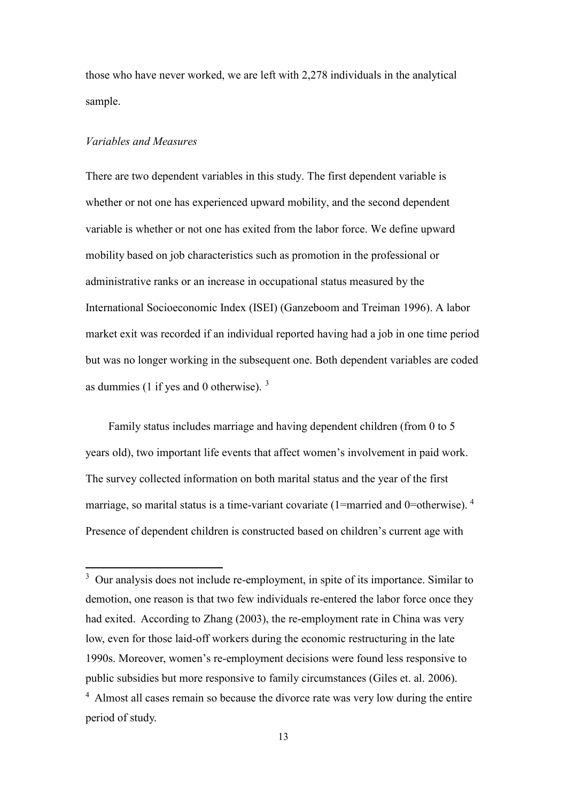those who have never worked, we are left with 2,278 individuals in the analytical sample.

## *Variables and Measures*

 $\overline{a}$ 

There are two dependent variables in this study. The first dependent variable is whether or not one has experienced upward mobility, and the second dependent variable is whether or not one has exited from the labor force. We define upward mobility based on job characteristics such as promotion in the professional or administrative ranks or an increase in occupational status measured by the International Socioeconomic Index (ISEI) (Ganzeboom and Treiman 1996). A labor market exit was recorded if an individual reported having had a job in one time period but was no longer working in the subsequent one. Both dependent variables are coded as dummies (1 if yes and 0 otherwise).  $3$ 

Family status includes marriage and having dependent children (from 0 to 5 years old), two important life events that affect women's involvement in paid work. The survey collected information on both marital status and the year of the first marriage, so marital status is a time-variant covariate (1=married and 0=otherwise).  $4$ Presence of dependent children is constructed based on children's current age with

<span id="page-14-1"></span><span id="page-14-0"></span> $3$  Our analysis does not include re-employment, in spite of its importance. Similar to demotion, one reason is that two few individuals re-entered the labor force once they had exited. According to Zhang (2003), the re-employment rate in China was very low, even for those laid-off workers during the economic restructuring in the late 1990s. Moreover, women's re-employment decisions were found less responsive to public subsidies but more responsive to family circumstances (Giles et. al. 2006). <sup>4</sup> Almost all cases remain so because the divorce rate was very low during the entire period of study.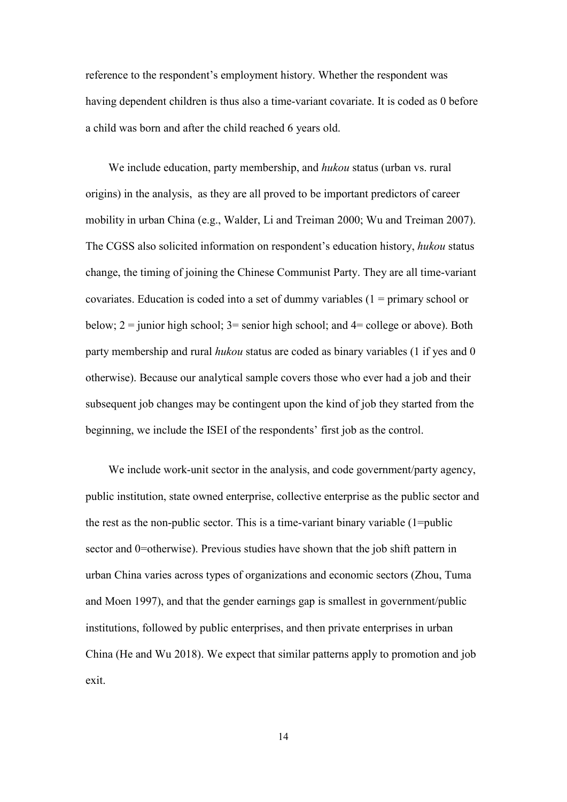reference to the respondent's employment history. Whether the respondent was having dependent children is thus also a time-variant covariate. It is coded as 0 before a child was born and after the child reached 6 years old.

We include education, party membership, and *hukou* status (urban vs. rural origins) in the analysis, as they are all proved to be important predictors of career mobility in urban China (e.g., Walder, Li and Treiman 2000; Wu and Treiman 2007). The CGSS also solicited information on respondent's education history, *hukou* status change, the timing of joining the Chinese Communist Party. They are all time-variant covariates. Education is coded into a set of dummy variables (1 = primary school or below;  $2 =$  junior high school;  $3 =$  senior high school; and  $4 =$  college or above). Both party membership and rural *hukou* status are coded as binary variables (1 if yes and 0 otherwise). Because our analytical sample covers those who ever had a job and their subsequent job changes may be contingent upon the kind of job they started from the beginning, we include the ISEI of the respondents' first job as the control.

We include work-unit sector in the analysis, and code government/party agency, public institution, state owned enterprise, collective enterprise as the public sector and the rest as the non-public sector. This is a time-variant binary variable  $(1=$ public sector and 0=otherwise). Previous studies have shown that the job shift pattern in urban China varies across types of organizations and economic sectors (Zhou, Tuma and Moen 1997), and that the gender earnings gap is smallest in government/public institutions, followed by public enterprises, and then private enterprises in urban China (He and Wu 2018). We expect that similar patterns apply to promotion and job exit.

14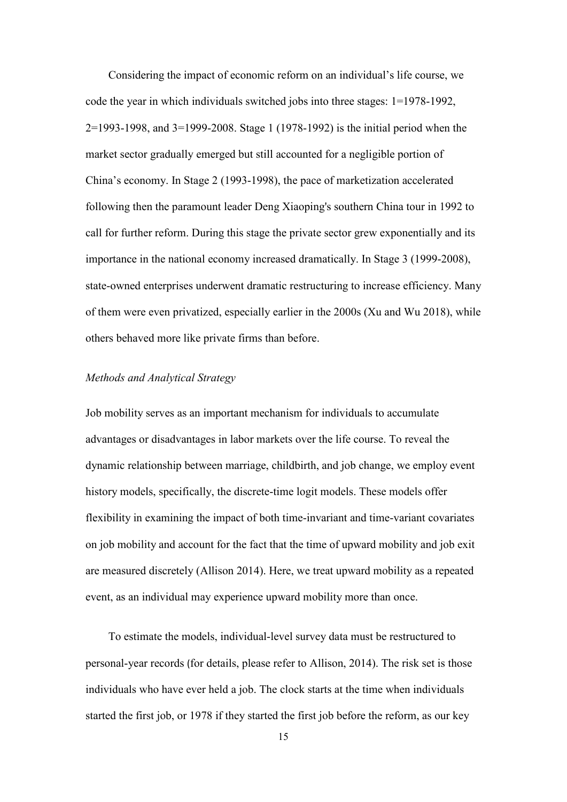Considering the impact of economic reform on an individual's life course, we code the year in which individuals switched jobs into three stages: 1=1978-1992, 2=1993-1998, and 3=1999-2008. Stage 1 (1978-1992) is the initial period when the market sector gradually emerged but still accounted for a negligible portion of China's economy. In Stage 2 (1993-1998), the pace of marketization accelerated following then the paramount leader Deng Xiaoping's southern China tour in 1992 to call for further reform. During this stage the private sector grew exponentially and its importance in the national economy increased dramatically. In Stage 3 (1999-2008), state-owned enterprises underwent dramatic restructuring to increase efficiency. Many of them were even privatized, especially earlier in the 2000s (Xu and Wu 2018), while others behaved more like private firms than before.

### *Methods and Analytical Strategy*

Job mobility serves as an important mechanism for individuals to accumulate advantages or disadvantages in labor markets over the life course. To reveal the dynamic relationship between marriage, childbirth, and job change, we employ event history models, specifically, the discrete-time logit models. These models offer flexibility in examining the impact of both time-invariant and time-variant covariates on job mobility and account for the fact that the time of upward mobility and job exit are measured discretely (Allison 2014). Here, we treat upward mobility as a repeated event, as an individual may experience upward mobility more than once.

To estimate the models, individual-level survey data must be restructured to personal-year records (for details, please refer to Allison, 2014). The risk set is those individuals who have ever held a job. The clock starts at the time when individuals started the first job, or 1978 if they started the first job before the reform, as our key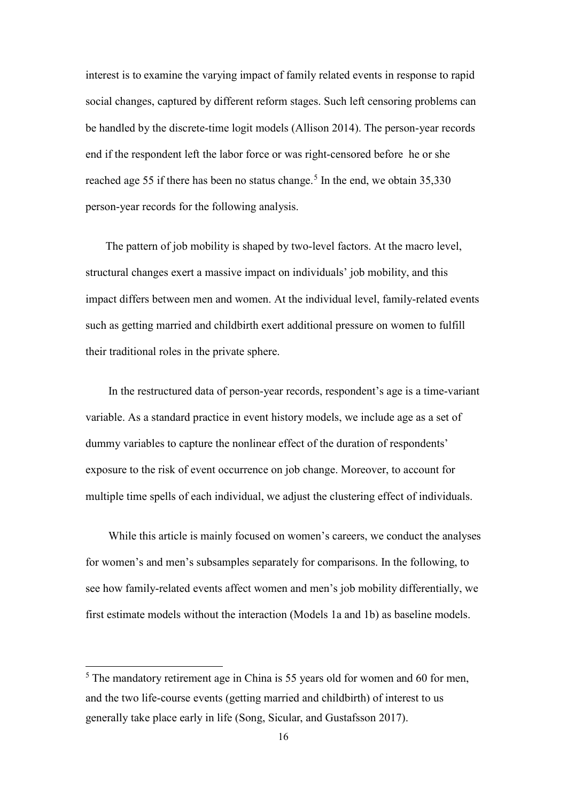interest is to examine the varying impact of family related events in response to rapid social changes, captured by different reform stages. Such left censoring problems can be handled by the discrete-time logit models (Allison 2014). The person-year records end if the respondent left the labor force or was right-censored before he or she reached age [5](#page-17-0)5 if there has been no status change.<sup>5</sup> In the end, we obtain 35,330 person-year records for the following analysis.

The pattern of job mobility is shaped by two-level factors. At the macro level, structural changes exert a massive impact on individuals' job mobility, and this impact differs between men and women. At the individual level, family-related events such as getting married and childbirth exert additional pressure on women to fulfill their traditional roles in the private sphere.

In the restructured data of person-year records, respondent's age is a time-variant variable. As a standard practice in event history models, we include age as a set of dummy variables to capture the nonlinear effect of the duration of respondents' exposure to the risk of event occurrence on job change. Moreover, to account for multiple time spells of each individual, we adjust the clustering effect of individuals.

While this article is mainly focused on women's careers, we conduct the analyses for women's and men's subsamples separately for comparisons. In the following, to see how family-related events affect women and men's job mobility differentially, we first estimate models without the interaction (Models 1a and 1b) as baseline models.

 $\overline{a}$ 

<span id="page-17-0"></span> $<sup>5</sup>$  The mandatory retirement age in China is 55 years old for women and 60 for men,</sup> and the two life-course events (getting married and childbirth) of interest to us generally take place early in life (Song, Sicular, and Gustafsson 2017).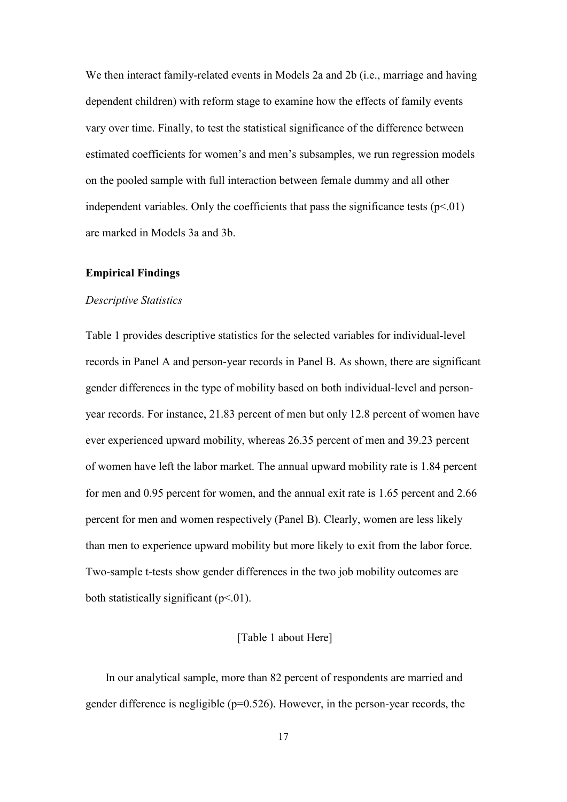We then interact family-related events in Models 2a and 2b (i.e., marriage and having dependent children) with reform stage to examine how the effects of family events vary over time. Finally, to test the statistical significance of the difference between estimated coefficients for women's and men's subsamples, we run regression models on the pooled sample with full interaction between female dummy and all other independent variables. Only the coefficients that pass the significance tests  $(p<01)$ are marked in Models 3a and 3b.

#### **Empirical Findings**

#### *Descriptive Statistics*

Table 1 provides descriptive statistics for the selected variables for individual-level records in Panel A and person-year records in Panel B. As shown, there are significant gender differences in the type of mobility based on both individual-level and personyear records. For instance, 21.83 percent of men but only 12.8 percent of women have ever experienced upward mobility, whereas 26.35 percent of men and 39.23 percent of women have left the labor market. The annual upward mobility rate is 1.84 percent for men and 0.95 percent for women, and the annual exit rate is 1.65 percent and 2.66 percent for men and women respectively (Panel B). Clearly, women are less likely than men to experience upward mobility but more likely to exit from the labor force. Two-sample t-tests show gender differences in the two job mobility outcomes are both statistically significant  $(p<.01)$ .

#### [Table 1 about Here]

In our analytical sample, more than 82 percent of respondents are married and gender difference is negligible  $(p=0.526)$ . However, in the person-year records, the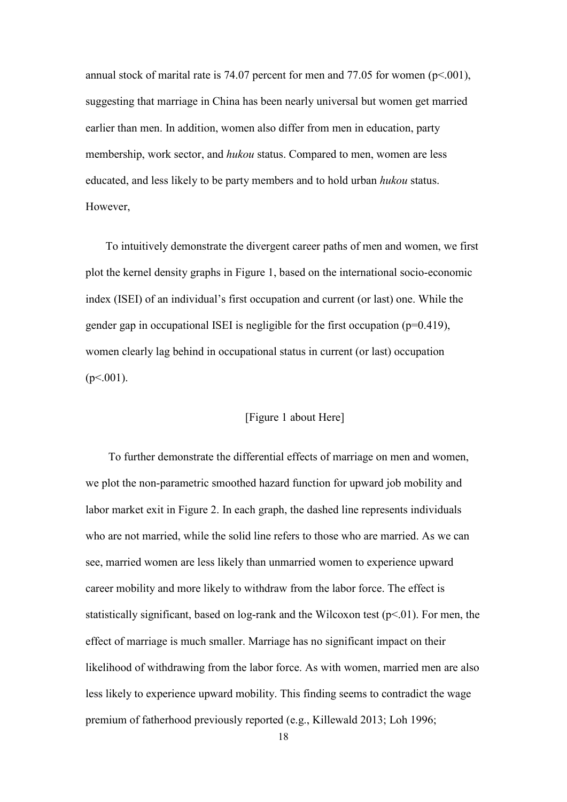annual stock of marital rate is 74.07 percent for men and 77.05 for women ( $p<0.01$ ), suggesting that marriage in China has been nearly universal but women get married earlier than men. In addition, women also differ from men in education, party membership, work sector, and *hukou* status. Compared to men, women are less educated, and less likely to be party members and to hold urban *hukou* status. However,

To intuitively demonstrate the divergent career paths of men and women, we first plot the kernel density graphs in Figure 1, based on the international socio-economic index (ISEI) of an individual's first occupation and current (or last) one. While the gender gap in occupational ISEI is negligible for the first occupation  $(p=0.419)$ , women clearly lag behind in occupational status in current (or last) occupation  $(p<.001)$ .

### [Figure 1 about Here]

To further demonstrate the differential effects of marriage on men and women, we plot the non-parametric smoothed hazard function for upward job mobility and labor market exit in Figure 2. In each graph, the dashed line represents individuals who are not married, while the solid line refers to those who are married. As we can see, married women are less likely than unmarried women to experience upward career mobility and more likely to withdraw from the labor force. The effect is statistically significant, based on log-rank and the Wilcoxon test ( $p<01$ ). For men, the effect of marriage is much smaller. Marriage has no significant impact on their likelihood of withdrawing from the labor force. As with women, married men are also less likely to experience upward mobility. This finding seems to contradict the wage premium of fatherhood previously reported (e.g., Killewald 2013; Loh 1996;

18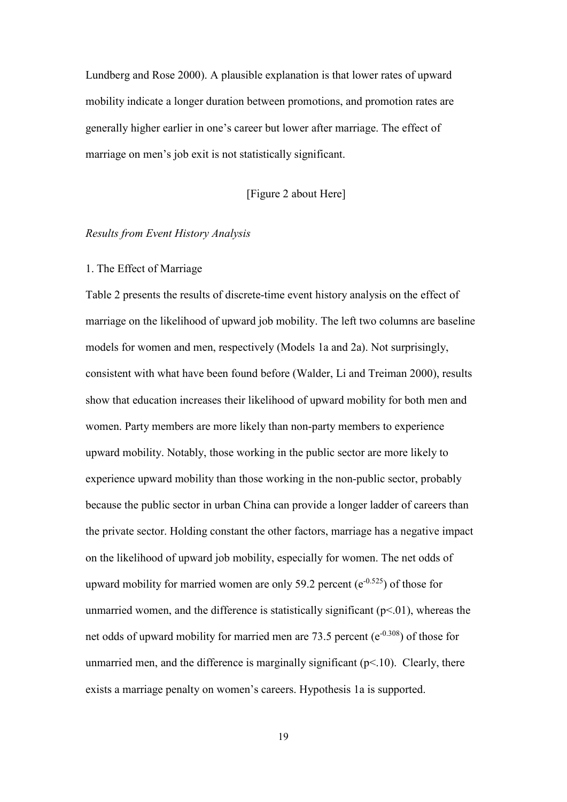Lundberg and Rose 2000). A plausible explanation is that lower rates of upward mobility indicate a longer duration between promotions, and promotion rates are generally higher earlier in one's career but lower after marriage. The effect of marriage on men's job exit is not statistically significant.

## [Figure 2 about Here]

#### *Results from Event History Analysis*

#### 1. The Effect of Marriage

Table 2 presents the results of discrete-time event history analysis on the effect of marriage on the likelihood of upward job mobility. The left two columns are baseline models for women and men, respectively (Models 1a and 2a). Not surprisingly, consistent with what have been found before (Walder, Li and Treiman 2000), results show that education increases their likelihood of upward mobility for both men and women. Party members are more likely than non-party members to experience upward mobility. Notably, those working in the public sector are more likely to experience upward mobility than those working in the non-public sector, probably because the public sector in urban China can provide a longer ladder of careers than the private sector. Holding constant the other factors, marriage has a negative impact on the likelihood of upward job mobility, especially for women. The net odds of upward mobility for married women are only 59.2 percent ( $e^{-0.525}$ ) of those for unmarried women, and the difference is statistically significant  $(p<0.01)$ , whereas the net odds of upward mobility for married men are 73.5 percent ( $e^{-0.308}$ ) of those for unmarried men, and the difference is marginally significant  $(p<10)$ . Clearly, there exists a marriage penalty on women's careers. Hypothesis 1a is supported.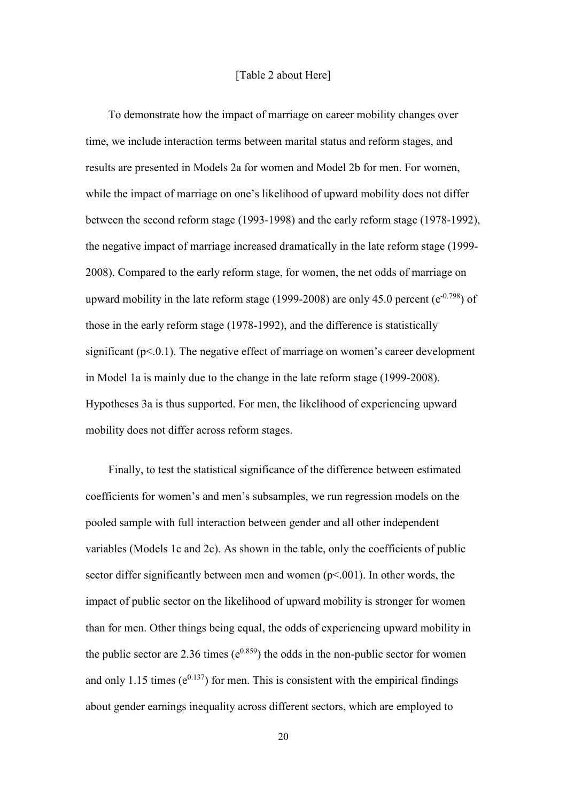### [Table 2 about Here]

To demonstrate how the impact of marriage on career mobility changes over time, we include interaction terms between marital status and reform stages, and results are presented in Models 2a for women and Model 2b for men. For women, while the impact of marriage on one's likelihood of upward mobility does not differ between the second reform stage (1993-1998) and the early reform stage (1978-1992), the negative impact of marriage increased dramatically in the late reform stage (1999- 2008). Compared to the early reform stage, for women, the net odds of marriage on upward mobility in the late reform stage (1999-2008) are only 45.0 percent ( $e^{-0.798}$ ) of those in the early reform stage (1978-1992), and the difference is statistically significant  $(p<.0.1)$ . The negative effect of marriage on women's career development in Model 1a is mainly due to the change in the late reform stage (1999-2008). Hypotheses 3a is thus supported. For men, the likelihood of experiencing upward mobility does not differ across reform stages.

Finally, to test the statistical significance of the difference between estimated coefficients for women's and men's subsamples, we run regression models on the pooled sample with full interaction between gender and all other independent variables (Models 1c and 2c). As shown in the table, only the coefficients of public sector differ significantly between men and women  $(p<.001)$ . In other words, the impact of public sector on the likelihood of upward mobility is stronger for women than for men. Other things being equal, the odds of experiencing upward mobility in the public sector are 2.36 times  $(e^{0.859})$  the odds in the non-public sector for women and only 1.15 times  $(e^{0.137})$  for men. This is consistent with the empirical findings about gender earnings inequality across different sectors, which are employed to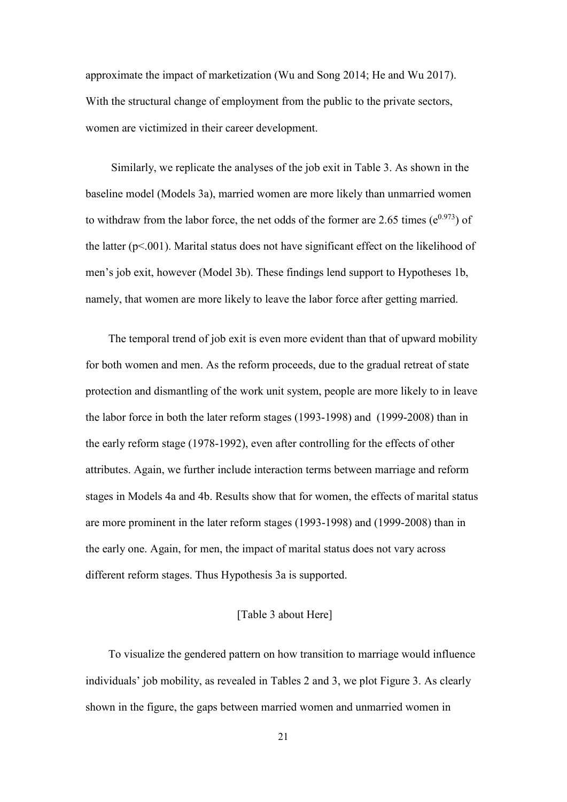approximate the impact of marketization (Wu and Song 2014; He and Wu 2017). With the structural change of employment from the public to the private sectors, women are victimized in their career development.

Similarly, we replicate the analyses of the job exit in Table 3. As shown in the baseline model (Models 3a), married women are more likely than unmarried women to withdraw from the labor force, the net odds of the former are 2.65 times  $(e^{0.973})$  of the latter ( $p<001$ ). Marital status does not have significant effect on the likelihood of men's job exit, however (Model 3b). These findings lend support to Hypotheses 1b, namely, that women are more likely to leave the labor force after getting married.

The temporal trend of job exit is even more evident than that of upward mobility for both women and men. As the reform proceeds, due to the gradual retreat of state protection and dismantling of the work unit system, people are more likely to in leave the labor force in both the later reform stages (1993-1998) and (1999-2008) than in the early reform stage (1978-1992), even after controlling for the effects of other attributes. Again, we further include interaction terms between marriage and reform stages in Models 4a and 4b. Results show that for women, the effects of marital status are more prominent in the later reform stages (1993-1998) and (1999-2008) than in the early one. Again, for men, the impact of marital status does not vary across different reform stages. Thus Hypothesis 3a is supported.

## [Table 3 about Here]

To visualize the gendered pattern on how transition to marriage would influence individuals' job mobility, as revealed in Tables 2 and 3, we plot Figure 3. As clearly shown in the figure, the gaps between married women and unmarried women in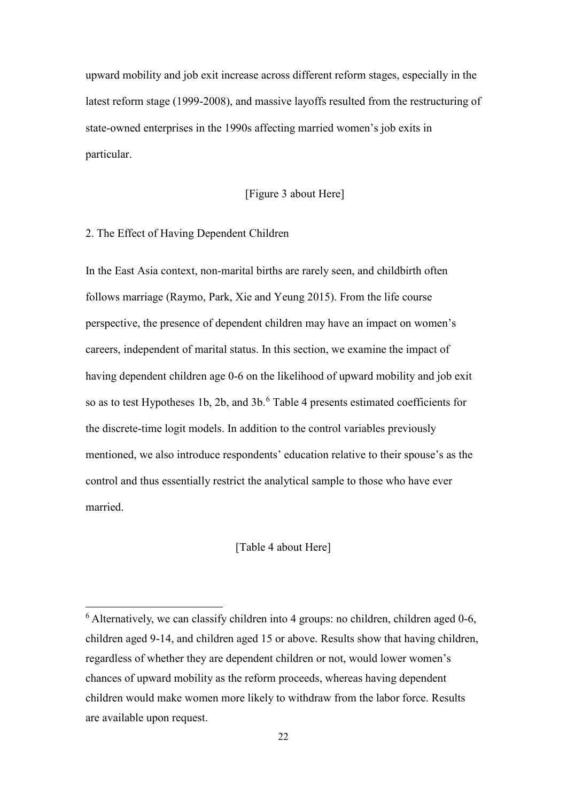upward mobility and job exit increase across different reform stages, especially in the latest reform stage (1999-2008), and massive layoffs resulted from the restructuring of state-owned enterprises in the 1990s affecting married women's job exits in particular.

## [Figure 3 about Here]

#### 2. The Effect of Having Dependent Children

l

In the East Asia context, non-marital births are rarely seen, and childbirth often follows marriage (Raymo, Park, Xie and Yeung 2015). From the life course perspective, the presence of dependent children may have an impact on women's careers, independent of marital status. In this section, we examine the impact of having dependent children age 0-6 on the likelihood of upward mobility and job exit so as to test Hypotheses 1b, 2b, and 3b.<sup>[6](#page-23-0)</sup> Table 4 presents estimated coefficients for the discrete-time logit models. In addition to the control variables previously mentioned, we also introduce respondents' education relative to their spouse's as the control and thus essentially restrict the analytical sample to those who have ever married.

## [Table 4 about Here]

<span id="page-23-0"></span> $6$  Alternatively, we can classify children into 4 groups: no children, children aged 0-6, children aged 9-14, and children aged 15 or above. Results show that having children, regardless of whether they are dependent children or not, would lower women's chances of upward mobility as the reform proceeds, whereas having dependent children would make women more likely to withdraw from the labor force. Results are available upon request.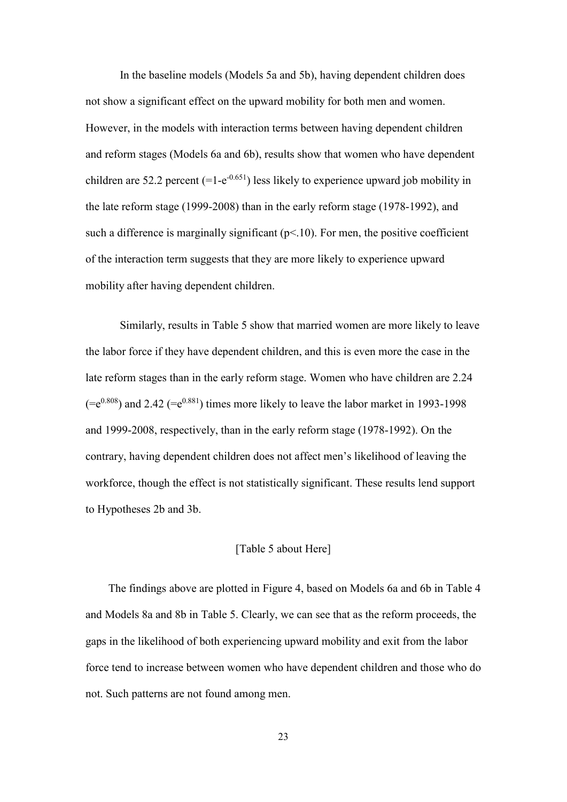In the baseline models (Models 5a and 5b), having dependent children does not show a significant effect on the upward mobility for both men and women. However, in the models with interaction terms between having dependent children and reform stages (Models 6a and 6b), results show that women who have dependent children are 52.2 percent  $(=1-e^{-0.651})$  less likely to experience upward job mobility in the late reform stage (1999-2008) than in the early reform stage (1978-1992), and such a difference is marginally significant  $(p<10)$ . For men, the positive coefficient of the interaction term suggests that they are more likely to experience upward mobility after having dependent children.

Similarly, results in Table 5 show that married women are more likely to leave the labor force if they have dependent children, and this is even more the case in the late reform stages than in the early reform stage. Women who have children are 2.24  $(=e^{0.808})$  and 2.42  $(=e^{0.881})$  times more likely to leave the labor market in 1993-1998 and 1999-2008, respectively, than in the early reform stage (1978-1992). On the contrary, having dependent children does not affect men's likelihood of leaving the workforce, though the effect is not statistically significant. These results lend support to Hypotheses 2b and 3b.

## [Table 5 about Here]

The findings above are plotted in Figure 4, based on Models 6a and 6b in Table 4 and Models 8a and 8b in Table 5. Clearly, we can see that as the reform proceeds, the gaps in the likelihood of both experiencing upward mobility and exit from the labor force tend to increase between women who have dependent children and those who do not. Such patterns are not found among men.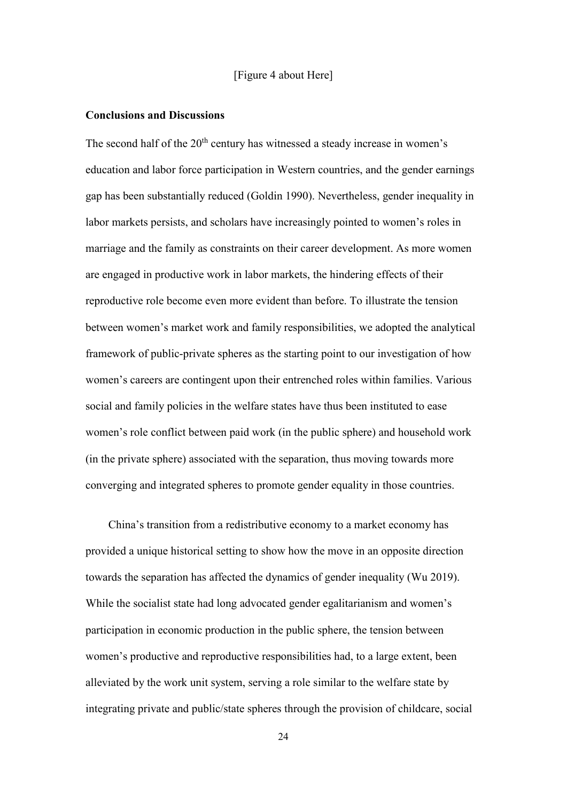### [Figure 4 about Here]

#### **Conclusions and Discussions**

The second half of the  $20<sup>th</sup>$  century has witnessed a steady increase in women's education and labor force participation in Western countries, and the gender earnings gap has been substantially reduced (Goldin 1990). Nevertheless, gender inequality in labor markets persists, and scholars have increasingly pointed to women's roles in marriage and the family as constraints on their career development. As more women are engaged in productive work in labor markets, the hindering effects of their reproductive role become even more evident than before. To illustrate the tension between women's market work and family responsibilities, we adopted the analytical framework of public-private spheres as the starting point to our investigation of how women's careers are contingent upon their entrenched roles within families. Various social and family policies in the welfare states have thus been instituted to ease women's role conflict between paid work (in the public sphere) and household work (in the private sphere) associated with the separation, thus moving towards more converging and integrated spheres to promote gender equality in those countries.

China's transition from a redistributive economy to a market economy has provided a unique historical setting to show how the move in an opposite direction towards the separation has affected the dynamics of gender inequality (Wu 2019). While the socialist state had long advocated gender egalitarianism and women's participation in economic production in the public sphere, the tension between women's productive and reproductive responsibilities had, to a large extent, been alleviated by the work unit system, serving a role similar to the welfare state by integrating private and public/state spheres through the provision of childcare, social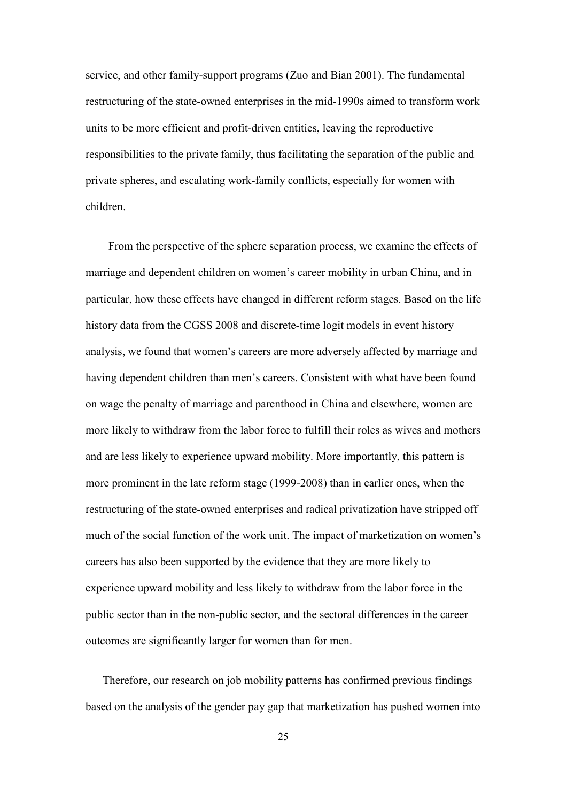service, and other family-support programs (Zuo and Bian 2001). The fundamental restructuring of the state-owned enterprises in the mid-1990s aimed to transform work units to be more efficient and profit-driven entities, leaving the reproductive responsibilities to the private family, thus facilitating the separation of the public and private spheres, and escalating work-family conflicts, especially for women with children.

From the perspective of the sphere separation process, we examine the effects of marriage and dependent children on women's career mobility in urban China, and in particular, how these effects have changed in different reform stages. Based on the life history data from the CGSS 2008 and discrete-time logit models in event history analysis, we found that women's careers are more adversely affected by marriage and having dependent children than men's careers. Consistent with what have been found on wage the penalty of marriage and parenthood in China and elsewhere, women are more likely to withdraw from the labor force to fulfill their roles as wives and mothers and are less likely to experience upward mobility. More importantly, this pattern is more prominent in the late reform stage (1999-2008) than in earlier ones, when the restructuring of the state-owned enterprises and radical privatization have stripped off much of the social function of the work unit. The impact of marketization on women's careers has also been supported by the evidence that they are more likely to experience upward mobility and less likely to withdraw from the labor force in the public sector than in the non-public sector, and the sectoral differences in the career outcomes are significantly larger for women than for men.

Therefore, our research on job mobility patterns has confirmed previous findings based on the analysis of the gender pay gap that marketization has pushed women into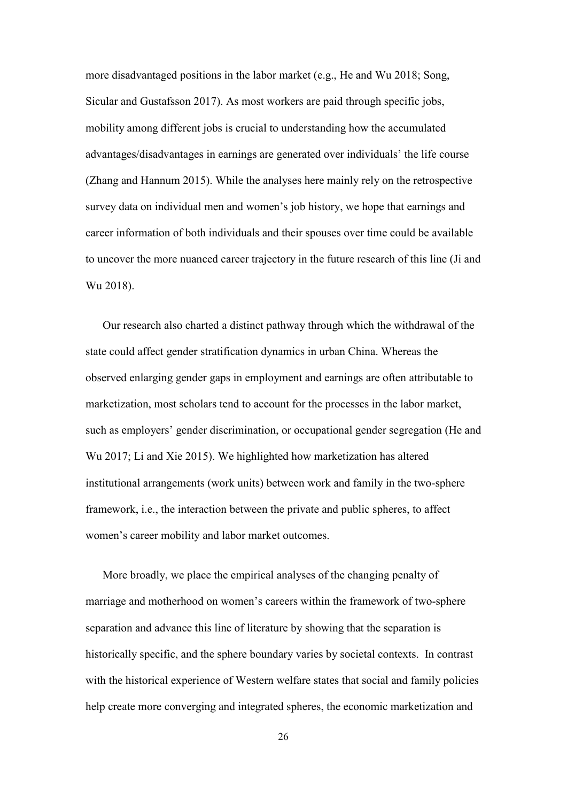more disadvantaged positions in the labor market (e.g., He and Wu 2018; Song, Sicular and Gustafsson 2017). As most workers are paid through specific jobs, mobility among different jobs is crucial to understanding how the accumulated advantages/disadvantages in earnings are generated over individuals' the life course (Zhang and Hannum 2015). While the analyses here mainly rely on the retrospective survey data on individual men and women's job history, we hope that earnings and career information of both individuals and their spouses over time could be available to uncover the more nuanced career trajectory in the future research of this line (Ji and Wu 2018).

Our research also charted a distinct pathway through which the withdrawal of the state could affect gender stratification dynamics in urban China. Whereas the observed enlarging gender gaps in employment and earnings are often attributable to marketization, most scholars tend to account for the processes in the labor market, such as employers' gender discrimination, or occupational gender segregation (He and Wu 2017; Li and Xie 2015). We highlighted how marketization has altered institutional arrangements (work units) between work and family in the two-sphere framework, i.e., the interaction between the private and public spheres, to affect women's career mobility and labor market outcomes.

More broadly, we place the empirical analyses of the changing penalty of marriage and motherhood on women's careers within the framework of two-sphere separation and advance this line of literature by showing that the separation is historically specific, and the sphere boundary varies by societal contexts. In contrast with the historical experience of Western welfare states that social and family policies help create more converging and integrated spheres, the economic marketization and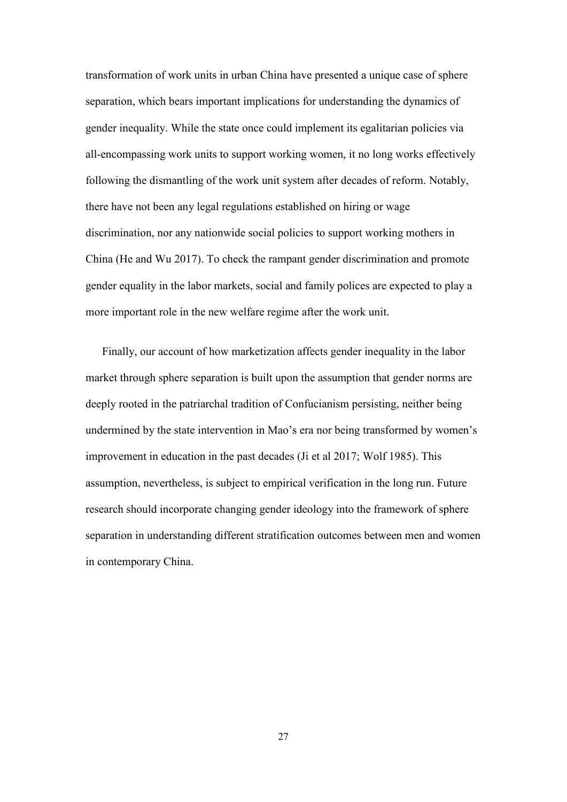transformation of work units in urban China have presented a unique case of sphere separation, which bears important implications for understanding the dynamics of gender inequality. While the state once could implement its egalitarian policies via all-encompassing work units to support working women, it no long works effectively following the dismantling of the work unit system after decades of reform. Notably, there have not been any legal regulations established on hiring or wage discrimination, nor any nationwide social policies to support working mothers in China (He and Wu 2017). To check the rampant gender discrimination and promote gender equality in the labor markets, social and family polices are expected to play a more important role in the new welfare regime after the work unit.

Finally, our account of how marketization affects gender inequality in the labor market through sphere separation is built upon the assumption that gender norms are deeply rooted in the patriarchal tradition of Confucianism persisting, neither being undermined by the state intervention in Mao's era nor being transformed by women's improvement in education in the past decades (Ji et al 2017; Wolf 1985). This assumption, nevertheless, is subject to empirical verification in the long run. Future research should incorporate changing gender ideology into the framework of sphere separation in understanding different stratification outcomes between men and women in contemporary China.

27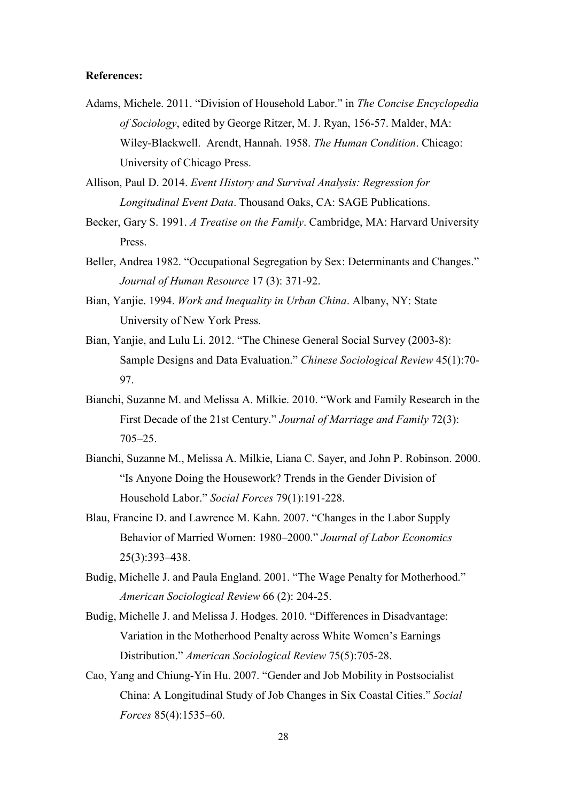## **References:**

Adams, Michele. 2011. "Division of Household Labor." in *The Concise Encyclopedia of Sociology*, edited by George Ritzer, M. J. Ryan, 156-57. Malder, MA: Wiley-Blackwell. Arendt, Hannah. 1958. *The Human Condition*. Chicago: University of Chicago Press.

Allison, Paul D. 2014. *Event History and Survival Analysis: Regression for Longitudinal Event Data*. Thousand Oaks, CA: SAGE Publications.

- Becker, Gary S. 1991. *A Treatise on the Family*. Cambridge, MA: Harvard University Press.
- Beller, Andrea 1982. "Occupational Segregation by Sex: Determinants and Changes." *Journal of Human Resource* 17 (3): 371-92.
- Bian, Yanjie. 1994. *Work and Inequality in Urban China*. Albany, NY: State University of New York Press.
- Bian, Yanjie, and Lulu Li. 2012. "The Chinese General Social Survey (2003-8): Sample Designs and Data Evaluation." *Chinese Sociological Review* 45(1):70- 97.
- Bianchi, Suzanne M. and Melissa A. Milkie. 2010. "Work and Family Research in the First Decade of the 21st Century." *Journal of Marriage and Family* 72(3): 705–25.
- Bianchi, Suzanne M., Melissa A. Milkie, Liana C. Sayer, and John P. Robinson. 2000. "Is Anyone Doing the Housework? Trends in the Gender Division of Household Labor." *Social Forces* 79(1):191-228.
- Blau, Francine D. and Lawrence M. Kahn. 2007. "Changes in the Labor Supply Behavior of Married Women: 1980–2000." *Journal of Labor Economics* 25(3):393–438.
- Budig, Michelle J. and Paula England. 2001. "The Wage Penalty for Motherhood." *American Sociological Review* 66 (2): 204-25.
- Budig, Michelle J. and Melissa J. Hodges. 2010. "Differences in Disadvantage: Variation in the Motherhood Penalty across White Women's Earnings Distribution." *American Sociological Review* 75(5):705-28.
- Cao, Yang and Chiung-Yin Hu. 2007. "Gender and Job Mobility in Postsocialist China: A Longitudinal Study of Job Changes in Six Coastal Cities." *Social Forces* 85(4):1535–60.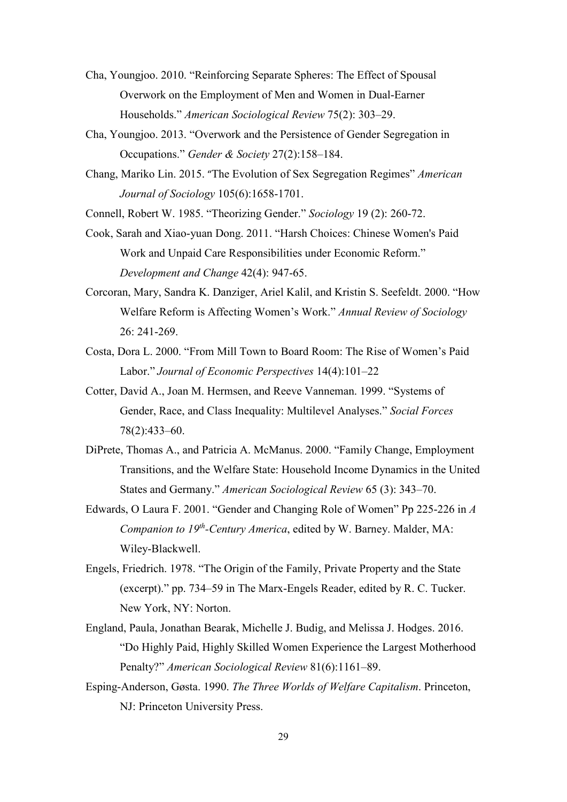- Cha, Youngjoo. 2010. "Reinforcing Separate Spheres: The Effect of Spousal Overwork on the Employment of Men and Women in Dual-Earner Households." *American Sociological Review* 75(2): 303–29.
- Cha, Youngjoo. 2013. "Overwork and the Persistence of Gender Segregation in Occupations." *Gender & Society* 27(2):158–184.
- Chang, Mariko Lin. 2015. "The Evolution of Sex Segregation Regimes" *American Journal of Sociology* 105(6):1658-1701.

Connell, Robert W. 1985. "Theorizing Gender." *Sociology* 19 (2): 260-72.

- Cook, Sarah and Xiao-yuan Dong. 2011. "Harsh Choices: Chinese Women's Paid Work and Unpaid Care Responsibilities under Economic Reform." *Development and Change* 42(4): 947-65.
- Corcoran, Mary, Sandra K. Danziger, Ariel Kalil, and Kristin S. Seefeldt. 2000. "How Welfare Reform is Affecting Women's Work." *Annual Review of Sociology* 26: 241-269.
- Costa, Dora L. 2000. "From Mill Town to Board Room: The Rise of Women's Paid Labor." *Journal of Economic Perspectives* 14(4):101–22
- Cotter, David A., Joan M. Hermsen, and Reeve Vanneman. 1999. "Systems of Gender, Race, and Class Inequality: Multilevel Analyses." *Social Forces* 78(2):433–60.
- DiPrete, Thomas A., and Patricia A. McManus. 2000. "Family Change, Employment Transitions, and the Welfare State: Household Income Dynamics in the United States and Germany." *American Sociological Review* 65 (3): 343–70.
- Edwards, O Laura F. 2001. "Gender and Changing Role of Women" Pp 225-226 in *A Companion to 19th-Century America*, edited by W. Barney. Malder, MA: Wiley-Blackwell.
- Engels, Friedrich. 1978. "The Origin of the Family, Private Property and the State (excerpt)." pp. 734–59 in The Marx-Engels Reader, edited by R. C. Tucker. New York, NY: Norton.
- England, Paula, Jonathan Bearak, Michelle J. Budig, and Melissa J. Hodges. 2016. "Do Highly Paid, Highly Skilled Women Experience the Largest Motherhood Penalty?" *American Sociological Review* 81(6):1161–89.
- Esping-Anderson, Gøsta. 1990. *The Three Worlds of Welfare Capitalism*. Princeton, NJ: Princeton University Press.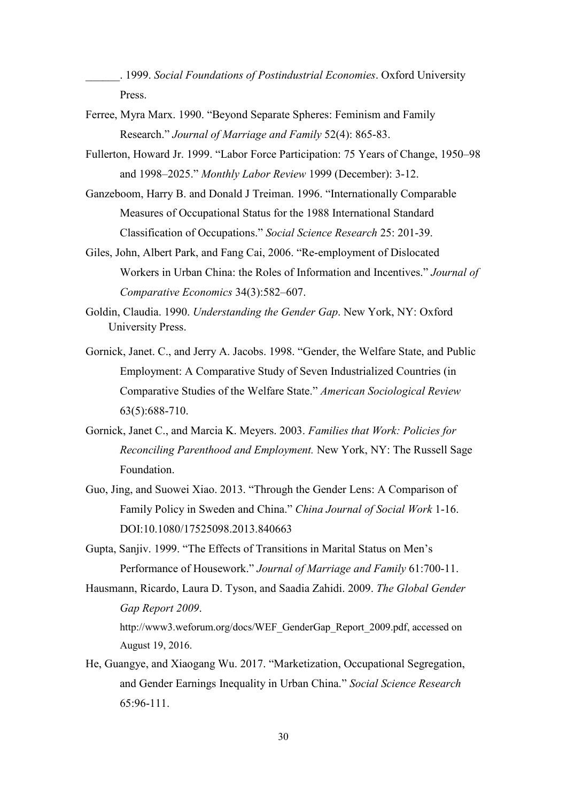\_\_\_\_\_\_. 1999. *Social Foundations of Postindustrial Economies*. Oxford University Press.

- Ferree, Myra Marx. 1990. "Beyond Separate Spheres: Feminism and Family Research." *Journal of Marriage and Family* 52(4): 865-83.
- Fullerton, Howard Jr. 1999. "Labor Force Participation: 75 Years of Change, 1950–98 and 1998–2025." *Monthly Labor Review* 1999 (December): 3-12.
- Ganzeboom, Harry B. and Donald J Treiman. 1996. "Internationally Comparable Measures of Occupational Status for the 1988 International Standard Classification of Occupations." *Social Science Research* 25: 201-39.
- Giles, John, Albert Park, and Fang Cai, 2006. "Re-employment of Dislocated Workers in Urban China: the Roles of Information and Incentives." *Journal of Comparative Economics* 34(3):582–607.
- Goldin, Claudia. 1990. *Understanding the Gender Gap*. New York, NY: Oxford University Press.
- Gornick, Janet. C., and Jerry A. Jacobs. 1998. "Gender, the Welfare State, and Public Employment: A Comparative Study of Seven Industrialized Countries (in Comparative Studies of the Welfare State." *American Sociological Review* 63(5):688-710.
- Gornick, Janet C., and Marcia K. Meyers. 2003. *Families that Work: Policies for Reconciling Parenthood and Employment.* New York, NY: The Russell Sage Foundation.
- Guo, Jing, and Suowei Xiao. 2013. "Through the Gender Lens: A Comparison of Family Policy in Sweden and China." *China Journal of Social Work* 1-16. DOI:10.1080/17525098.2013.840663
- Gupta, Sanjiv. 1999. "The Effects of Transitions in Marital Status on Men's Performance of Housework." *Journal of Marriage and Family* 61:700-11.
- Hausmann, Ricardo, Laura D. Tyson, and Saadia Zahidi. 2009. *The Global Gender Gap Report 2009*. http://www3.weforum.org/docs/WEF\_GenderGap\_Report\_2009.pdf, accessed on August 19, 2016.
- He, Guangye, and Xiaogang Wu. 2017. "Marketization, Occupational Segregation, and Gender Earnings Inequality in Urban China." *Social Science Research* 65:96-111.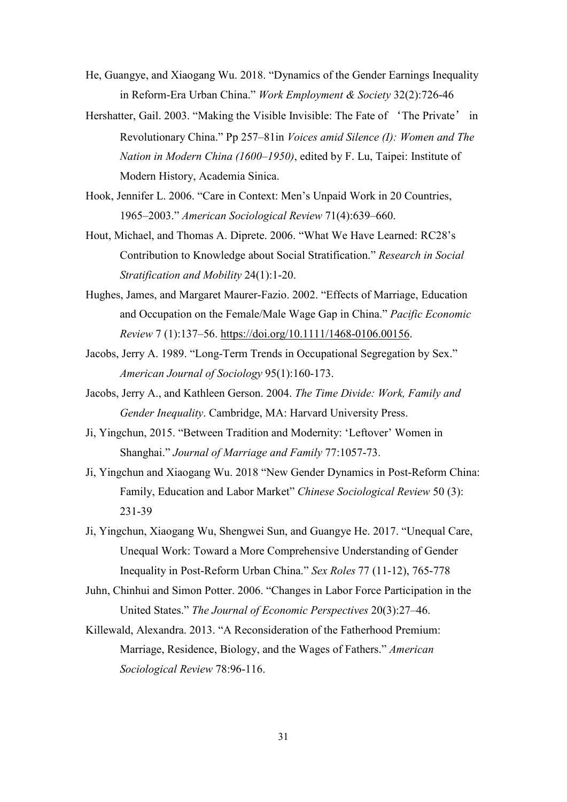- He, Guangye, and Xiaogang Wu. 2018. "Dynamics of the Gender Earnings Inequality in Reform-Era Urban China." *Work Employment & Society* 32(2):726-46
- Hershatter, Gail. 2003. "Making the Visible Invisible: The Fate of 'The Private' in Revolutionary China." Pp 257–81in *Voices amid Silence (I): Women and The Nation in Modern China (1600–1950)*, edited by F. Lu, Taipei: Institute of Modern History, Academia Sinica.
- Hook, Jennifer L. 2006. "Care in Context: Men's Unpaid Work in 20 Countries, 1965–2003." *American Sociological Review* 71(4):639–660.
- Hout, Michael, and Thomas A. Diprete. 2006. "What We Have Learned: RC28's Contribution to Knowledge about Social Stratification." *Research in Social Stratification and Mobility* 24(1):1-20.
- Hughes, James, and Margaret Maurer-Fazio. 2002. "Effects of Marriage, Education and Occupation on the Female/Male Wage Gap in China." *Pacific Economic Review* 7 (1):137–56. [https://doi.org/10.1111/1468-0106.00156.](https://doi.org/10.1111/1468-0106.00156)
- Jacobs, Jerry A. 1989. "Long-Term Trends in Occupational Segregation by Sex." *American Journal of Sociology* 95(1):160-173.
- Jacobs, Jerry A., and Kathleen Gerson. 2004. *The Time Divide: Work, Family and Gender Inequality*. Cambridge, MA: Harvard University Press.
- Ji, Yingchun, 2015. "Between Tradition and Modernity: 'Leftover' Women in Shanghai." *Journal of Marriage and Family* 77:1057-73.
- Ji, Yingchun and Xiaogang Wu. 2018 "New Gender Dynamics in Post-Reform China: Family, Education and Labor Market" *Chinese Sociological Review* 50 (3): 231-39
- Ji, Yingchun, Xiaogang Wu, Shengwei Sun, and Guangye He. 2017. "Unequal Care, Unequal Work: Toward a More Comprehensive Understanding of Gender Inequality in Post-Reform Urban China." *Sex Roles* 77 (11-12), 765-778
- Juhn, Chinhui and Simon Potter. 2006. "Changes in Labor Force Participation in the United States." *The Journal of Economic Perspectives* 20(3):27–46.
- Killewald, Alexandra. 2013. "A Reconsideration of the Fatherhood Premium: Marriage, Residence, Biology, and the Wages of Fathers." *American Sociological Review* 78:96-116.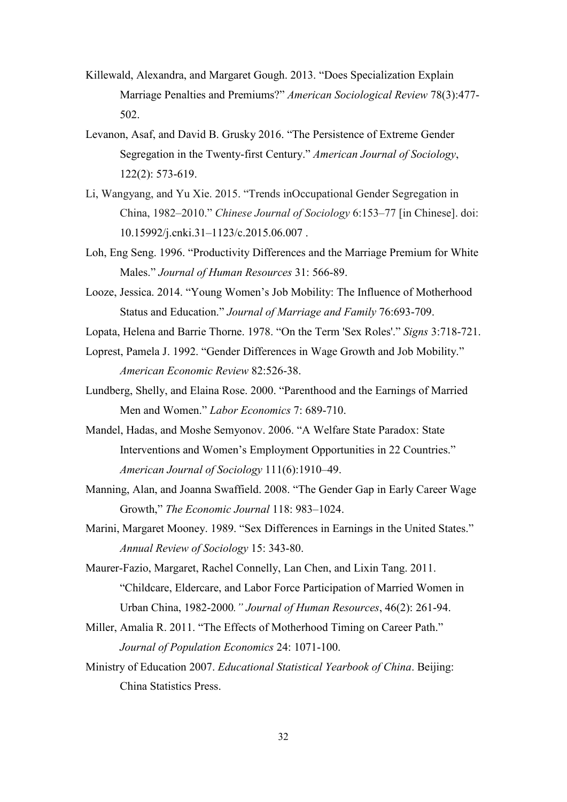- Killewald, Alexandra, and Margaret Gough. 2013. "Does Specialization Explain Marriage Penalties and Premiums?" *American Sociological Review* 78(3):477- 502.
- Levanon, Asaf, and David B. Grusky 2016. "The Persistence of Extreme Gender Segregation in the Twenty-first Century." *American Journal of Sociology*, 122(2): 573-619.
- Li, Wangyang, and Yu Xie. 2015. "Trends inOccupational Gender Segregation in China, 1982–2010." *Chinese Journal of Sociology* 6:153–77 [in Chinese]. doi: 10.15992/j.cnki.31–1123/c.2015.06.007 .
- Loh, Eng Seng. 1996. "Productivity Differences and the Marriage Premium for White Males." *Journal of Human Resources* 31: 566-89.
- Looze, Jessica. 2014. "Young Women's Job Mobility: The Influence of Motherhood Status and Education." *Journal of Marriage and Family* 76:693-709.
- Lopata, Helena and Barrie Thorne. 1978. "On the Term 'Sex Roles'." *Signs* 3:718-721.
- Loprest, Pamela J. 1992. "Gender Differences in Wage Growth and Job Mobility." *American Economic Review* 82:526-38.
- Lundberg, Shelly, and Elaina Rose. 2000. "Parenthood and the Earnings of Married Men and Women." *Labor Economics* 7: 689-710.
- Mandel, Hadas, and Moshe Semyonov. 2006. "A Welfare State Paradox: State Interventions and Women's Employment Opportunities in 22 Countries." *American Journal of Sociology* 111(6):1910–49.
- Manning, Alan, and Joanna Swaffield. 2008. "The Gender Gap in Early Career Wage Growth," *The Economic Journal* 118: 983–1024.
- Marini, Margaret Mooney. 1989. "Sex Differences in Earnings in the United States." *Annual Review of Sociology* 15: 343-80.
- Maurer-Fazio, Margaret, Rachel Connelly, Lan Chen, and Lixin Tang. 2011. "Childcare, Eldercare, and Labor Force Participation of Married Women in Urban China, 1982-2000*." Journal of Human Resources*, 46(2): 261-94.
- Miller, Amalia R. 2011. "The Effects of Motherhood Timing on Career Path." *Journal of Population Economics* 24: 1071-100.
- Ministry of Education 2007. *Educational Statistical Yearbook of China*. Beijing: China Statistics Press.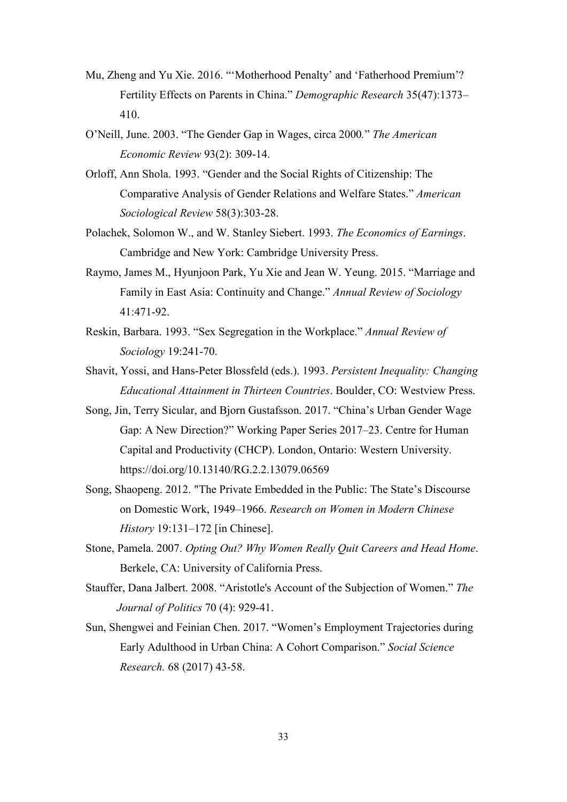- Mu, Zheng and Yu Xie. 2016. "'Motherhood Penalty' and 'Fatherhood Premium'? Fertility Effects on Parents in China." *Demographic Research* 35(47):1373– 410.
- O'Neill, June. 2003. "The Gender Gap in Wages, circa 2000*.*" *The American Economic Review* 93(2): 309-14.
- Orloff, Ann Shola. 1993. "Gender and the Social Rights of Citizenship: The Comparative Analysis of Gender Relations and Welfare States." *American Sociological Review* 58(3):303-28.
- Polachek, Solomon W., and W. Stanley Siebert. 1993. *The Economics of Earnings*. Cambridge and New York: Cambridge University Press.
- Raymo, James M., Hyunjoon Park, Yu Xie and Jean W. Yeung. 2015. "Marriage and Family in East Asia: Continuity and Change." *Annual Review of Sociology*  41:471-92.
- Reskin, Barbara. 1993. "Sex Segregation in the Workplace." *Annual Review of Sociology* 19:241-70.
- Shavit, Yossi, and Hans-Peter Blossfeld (eds.). 1993. *Persistent Inequality: Changing Educational Attainment in Thirteen Countries*. Boulder, CO: Westview Press.
- Song, Jin, Terry Sicular, and Bjorn Gustafsson. 2017. "China's Urban Gender Wage Gap: A New Direction?" Working Paper Series 2017–23. Centre for Human Capital and Productivity (CHCP). London, Ontario: Western University. https://doi.org/10.13140/RG.2.2.13079.06569
- Song, Shaopeng. 2012. "The Private Embedded in the Public: The State's Discourse on Domestic Work, 1949–1966. *Research on Women in Modern Chinese History* 19:131–172 [in Chinese].
- Stone, Pamela. 2007. *Opting Out? Why Women Really Quit Careers and Head Home*. Berkele, CA: University of California Press.
- Stauffer, Dana Jalbert. 2008. "Aristotle's Account of the Subjection of Women." *The Journal of Politics* 70 (4): 929-41.
- Sun, Shengwei and Feinian Chen. 2017. "Women's Employment Trajectories during Early Adulthood in Urban China: A Cohort Comparison." *Social Science Research.* 68 (2017) 43-58.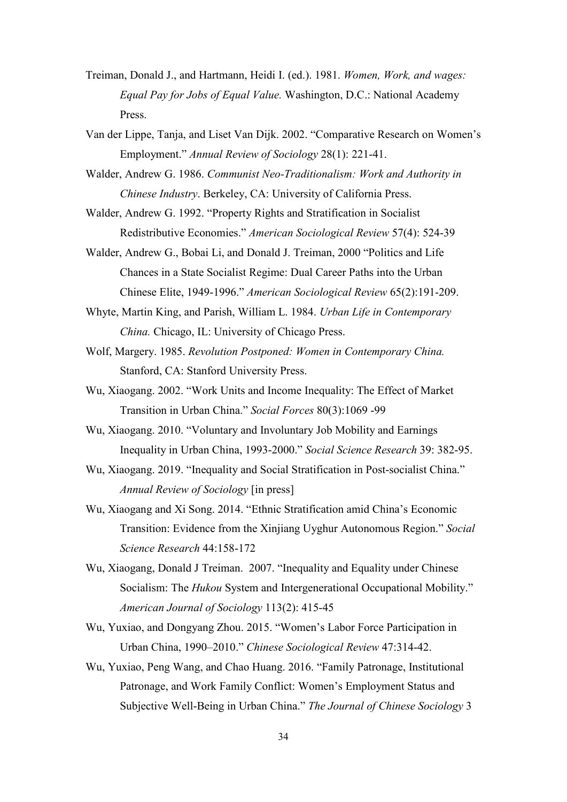- Treiman, Donald J., and Hartmann, Heidi I. (ed.). 1981. *Women, Work, and wages: Equal Pay for Jobs of Equal Value.* Washington, D.C.: National Academy Press.
- Van der Lippe, Tanja, and Liset Van Dijk. 2002. "Comparative Research on Women's Employment." *Annual Review of Sociology* 28(1): 221-41.
- Walder, Andrew G. 1986. *Communist Neo-Traditionalism: Work and Authority in Chinese Industry*. Berkeley, CA: University of California Press.
- Walder, Andrew G. 1992. "Property Rights and Stratification in Socialist Redistributive Economies." *American Sociological Review* 57(4): 524-39
- Walder, Andrew G., Bobai Li, and Donald J. Treiman, 2000 "Politics and Life Chances in a State Socialist Regime: Dual Career Paths into the Urban Chinese Elite, 1949-1996." *American Sociological Review* 65(2):191-209.
- Whyte, Martin King, and Parish, William L. 1984. *Urban Life in Contemporary China.* Chicago, IL: University of Chicago Press.
- Wolf, Margery. 1985. *Revolution Postponed: Women in Contemporary China.* Stanford, CA: Stanford University Press.
- Wu, Xiaogang. 2002. "Work Units and Income Inequality: The Effect of Market Transition in Urban China." *Social Forces* 80(3):1069 -99
- Wu, Xiaogang. 2010. "Voluntary and Involuntary Job Mobility and Earnings Inequality in Urban China, 1993-2000." *Social Science Research* 39: 382-95.
- Wu, Xiaogang. 2019. "Inequality and Social Stratification in Post-socialist China." *Annual Review of Sociology* [in press]
- Wu, Xiaogang and Xi Song. 2014. "Ethnic Stratification amid China's Economic Transition: Evidence from the Xinjiang Uyghur Autonomous Region." *Social Science Research* 44:158-172
- Wu, Xiaogang, Donald J Treiman. 2007. "Inequality and Equality under Chinese Socialism: The *Hukou* System and Intergenerational Occupational Mobility." *American Journal of Sociology* 113(2): 415-45
- Wu, Yuxiao, and Dongyang Zhou. 2015. "Women's Labor Force Participation in Urban China, 1990–2010." *Chinese Sociological Review* 47:314-42.
- Wu, Yuxiao, Peng Wang, and Chao Huang. 2016. "Family Patronage, Institutional Patronage, and Work Family Conflict: Women's Employment Status and Subjective Well-Being in Urban China." *The Journal of Chinese Sociology* 3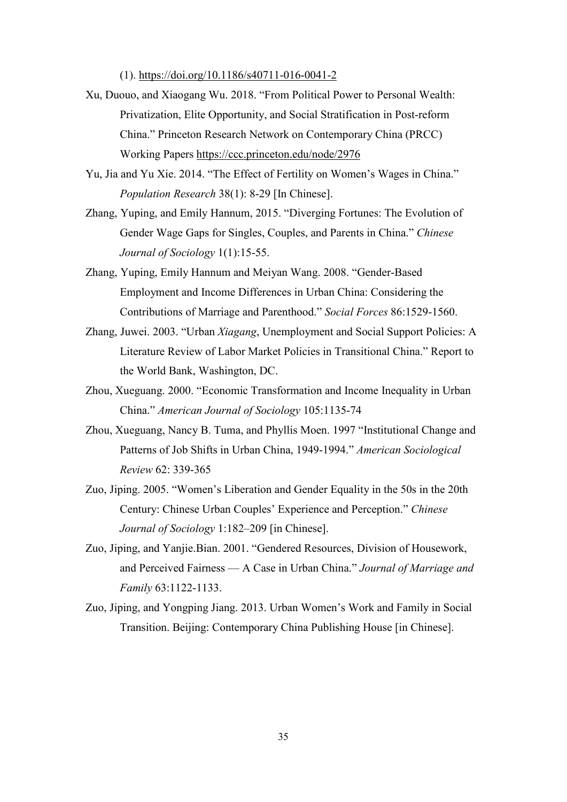(1). <https://doi.org/10.1186/s40711-016-0041-2>

- Xu, Duouo, and Xiaogang Wu. 2018. "From Political Power to Personal Wealth: Privatization, Elite Opportunity, and Social Stratification in Post-reform China." Princeton Research Network on Contemporary China (PRCC) Working Papers<https://ccc.princeton.edu/node/2976>
- Yu, Jia and Yu Xie. 2014. "The Effect of Fertility on Women's Wages in China." *Population Research* 38(1): 8-29 [In Chinese].
- Zhang, Yuping, and Emily Hannum, 2015. "Diverging Fortunes: The Evolution of Gender Wage Gaps for Singles, Couples, and Parents in China." *Chinese Journal of Sociology* 1(1):15-55.
- Zhang, Yuping, Emily Hannum and Meiyan Wang. 2008. "Gender-Based Employment and Income Differences in Urban China: Considering the Contributions of Marriage and Parenthood." *Social Forces* 86:1529-1560.
- Zhang, Juwei. 2003. "Urban *Xiagang*, Unemployment and Social Support Policies: A Literature Review of Labor Market Policies in Transitional China." Report to the World Bank, Washington, DC.
- Zhou, Xueguang. 2000. "Economic Transformation and Income Inequality in Urban China." *American Journal of Sociology* 105:1135-74
- Zhou, Xueguang, Nancy B. Tuma, and Phyllis Moen. 1997 "Institutional Change and Patterns of Job Shifts in Urban China, 1949-1994." *American Sociological Review* 62: 339-365
- Zuo, Jiping. 2005. "Women's Liberation and Gender Equality in the 50s in the 20th Century: Chinese Urban Couples' Experience and Perception." *Chinese Journal of Sociology* 1:182–209 [in Chinese].
- Zuo, Jiping, and Yanjie.Bian. 2001. "Gendered Resources, Division of Housework, and Perceived Fairness — A Case in Urban China." *Journal of Marriage and Family* 63:1122-1133.
- Zuo, Jiping, and Yongping Jiang. 2013. Urban Women's Work and Family in Social Transition. Beijing: Contemporary China Publishing House [in Chinese].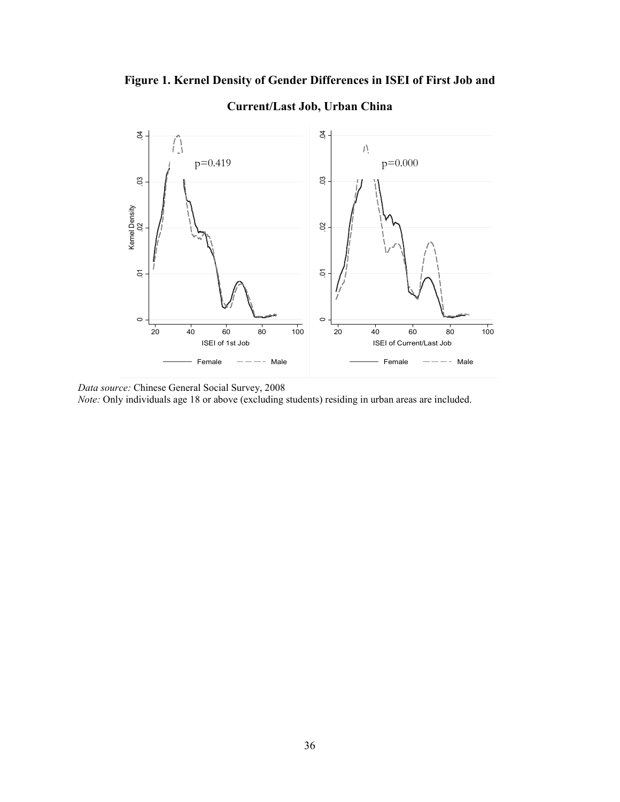



# **Current/Last Job, Urban China**

 *Data source:* Chinese General Social Survey, 2008

*Note:* Only individuals age 18 or above (excluding students) residing in urban areas are included.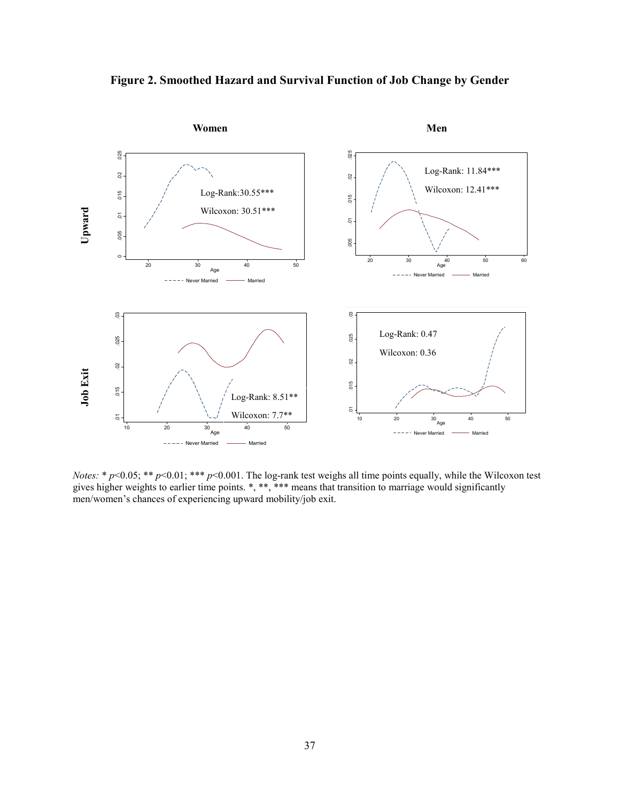



*Notes:* \* *p*<0.05; \*\* *p*<0.01; \*\*\* *p*<0.001. The log-rank test weighs all time points equally, while the Wilcoxon test gives higher weights to earlier time points. \*, \*\*, \*\*\* means that transition to marriage would significantly men/women's chances of experiencing upward mobility/job exit.

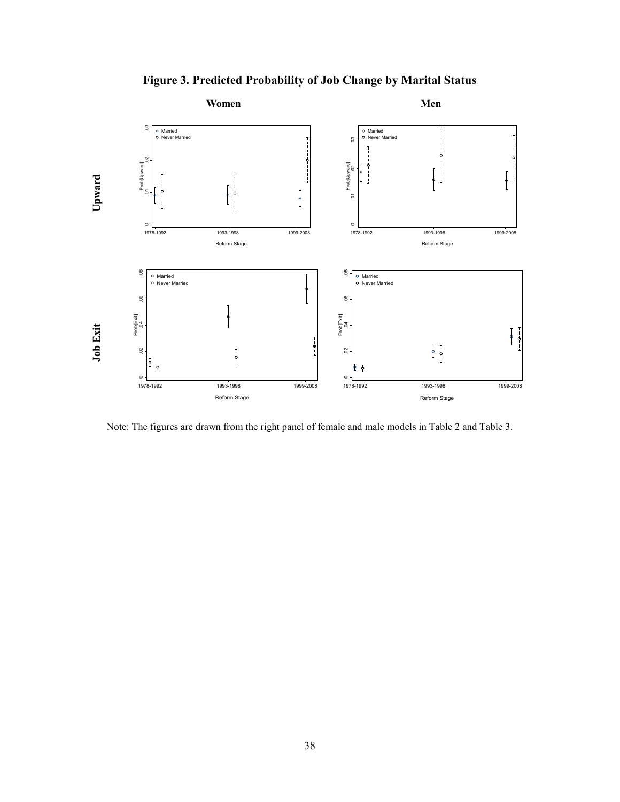

**Figure 3. Predicted Probability of Job Change by Marital Status**

Note: The figures are drawn from the right panel of female and male models in Table 2 and Table 3.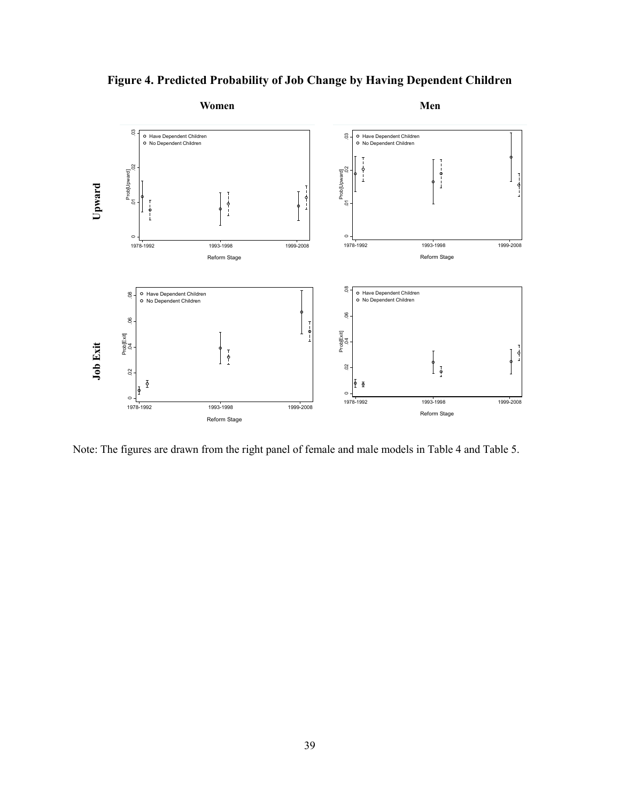



Note: The figures are drawn from the right panel of female and male models in Table 4 and Table 5.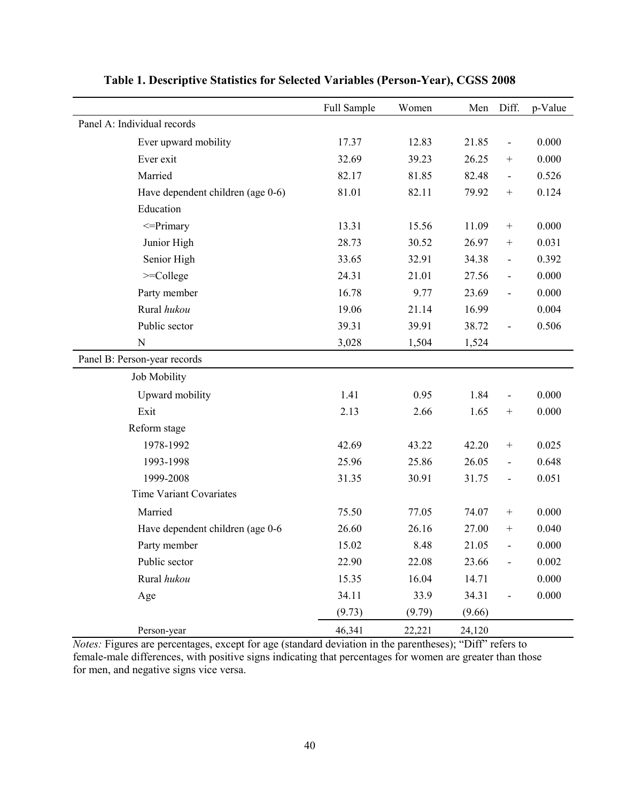|                                   | Full Sample | Women  | Men    | Diff.                    | p-Value |
|-----------------------------------|-------------|--------|--------|--------------------------|---------|
| Panel A: Individual records       |             |        |        |                          |         |
| Ever upward mobility              | 17.37       | 12.83  | 21.85  | $\overline{\phantom{a}}$ | 0.000   |
| Ever exit                         | 32.69       | 39.23  | 26.25  |                          | 0.000   |
| Married                           | 82.17       | 81.85  | 82.48  | $\overline{\phantom{a}}$ | 0.526   |
| Have dependent children (age 0-6) | 81.01       | 82.11  | 79.92  |                          | 0.124   |
| Education                         |             |        |        |                          |         |
| $\leq$ Primary                    | 13.31       | 15.56  | 11.09  | $+$                      | 0.000   |
| Junior High                       | 28.73       | 30.52  | 26.97  |                          | 0.031   |
| Senior High                       | 33.65       | 32.91  | 34.38  | $\overline{\phantom{a}}$ | 0.392   |
| $>=$ College                      | 24.31       | 21.01  | 27.56  | $\overline{\phantom{a}}$ | 0.000   |
| Party member                      | 16.78       | 9.77   | 23.69  | $\overline{\phantom{a}}$ | 0.000   |
| Rural hukou                       | 19.06       | 21.14  | 16.99  |                          | 0.004   |
| Public sector                     | 39.31       | 39.91  | 38.72  | $\overline{\phantom{a}}$ | 0.506   |
| $\mathbf N$                       | 3,028       | 1,504  | 1,524  |                          |         |
| Panel B: Person-year records      |             |        |        |                          |         |
| Job Mobility                      |             |        |        |                          |         |
| Upward mobility                   | 1.41        | 0.95   | 1.84   | $\blacksquare$           | 0.000   |
| Exit                              | 2.13        | 2.66   | 1.65   |                          | 0.000   |
| Reform stage                      |             |        |        |                          |         |
| 1978-1992                         | 42.69       | 43.22  | 42.20  |                          | 0.025   |
| 1993-1998                         | 25.96       | 25.86  | 26.05  | $\overline{\phantom{a}}$ | 0.648   |
| 1999-2008                         | 31.35       | 30.91  | 31.75  | $\overline{\phantom{a}}$ | 0.051   |
| Time Variant Covariates           |             |        |        |                          |         |
| Married                           | 75.50       | 77.05  | 74.07  |                          | 0.000   |
| Have dependent children (age 0-6  | 26.60       | 26.16  | 27.00  |                          | 0.040   |
| Party member                      | 15.02       | 8.48   | 21.05  | $\overline{\phantom{a}}$ | 0.000   |
| Public sector                     | 22.90       | 22.08  | 23.66  |                          | 0.002   |
| Rural hukou                       | 15.35       | 16.04  | 14.71  |                          | 0.000   |
| Age                               | 34.11       | 33.9   | 34.31  | $\overline{\phantom{0}}$ | 0.000   |
|                                   | (9.73)      | (9.79) | (9.66) |                          |         |
| Person-year                       | 46,341      | 22,221 | 24,120 |                          |         |

# **Table 1. Descriptive Statistics for Selected Variables (Person-Year), CGSS 2008**

*Notes:* Figures are percentages, except for age (standard deviation in the parentheses); "Diff" refers to female-male differences, with positive signs indicating that percentages for women are greater than those for men, and negative signs vice versa.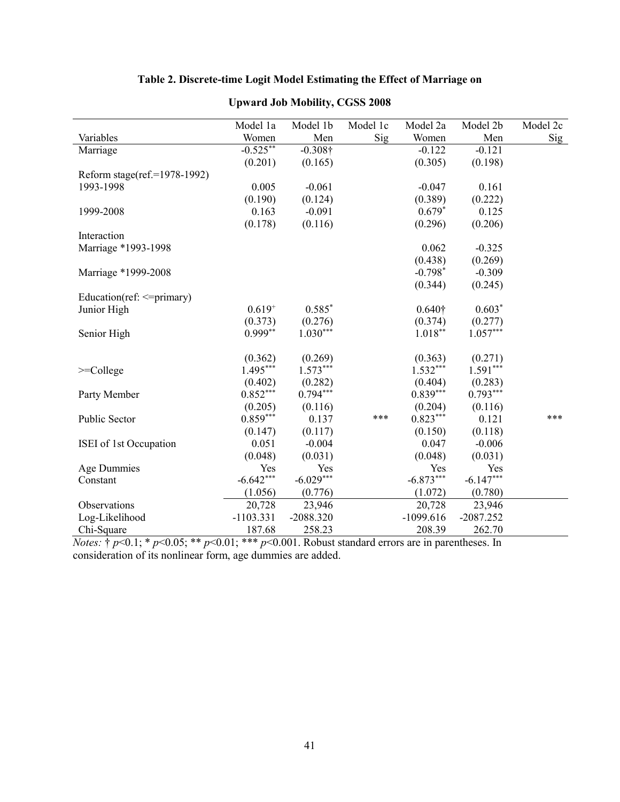# **Table 2. Discrete-time Logit Model Estimating the Effect of Marriage on**

|                              | Model 1a    | Model 1b    | Model 1c | Model 2a       | Model 2b    | Model 2c   |
|------------------------------|-------------|-------------|----------|----------------|-------------|------------|
| Variables                    | Women       | Men         | Sig      | Women          | Men         | <b>Sig</b> |
| Marriage                     | $-0.525***$ | $-0.308 +$  |          | $-0.122$       | $-0.121$    |            |
|                              | (0.201)     | (0.165)     |          | (0.305)        | (0.198)     |            |
| Reform stage(ref.=1978-1992) |             |             |          |                |             |            |
| 1993-1998                    | 0.005       | $-0.061$    |          | $-0.047$       | 0.161       |            |
|                              | (0.190)     | (0.124)     |          | (0.389)        | (0.222)     |            |
| 1999-2008                    | 0.163       | $-0.091$    |          | $0.679*$       | 0.125       |            |
|                              | (0.178)     | (0.116)     |          | (0.296)        | (0.206)     |            |
| Interaction                  |             |             |          |                |             |            |
| Marriage *1993-1998          |             |             |          | 0.062          | $-0.325$    |            |
|                              |             |             |          | (0.438)        | (0.269)     |            |
| Marriage *1999-2008          |             |             |          | $-0.798*$      | $-0.309$    |            |
|                              |             |             |          | (0.344)        | (0.245)     |            |
| Education(ref: <= primary)   |             |             |          |                |             |            |
| Junior High                  | $0.619^{+}$ | $0.585*$    |          | $0.640\dagger$ | $0.603*$    |            |
|                              | (0.373)     | (0.276)     |          | (0.374)        | (0.277)     |            |
| Senior High                  | $0.999**$   | $1.030***$  |          | $1.018**$      | $1.057***$  |            |
|                              |             |             |          |                |             |            |
|                              | (0.362)     | (0.269)     |          | (0.363)        | (0.271)     |            |
| $>=$ College                 | $1.495***$  | $1.573***$  |          | $1.532***$     | $1.591***$  |            |
|                              | (0.402)     | (0.282)     |          | (0.404)        | (0.283)     |            |
| Party Member                 | $0.852***$  | $0.794***$  |          | $0.839***$     | $0.793***$  |            |
|                              | (0.205)     | (0.116)     |          | (0.204)        | (0.116)     |            |
| Public Sector                | $0.859***$  | 0.137       | ***      | $0.823***$     | 0.121       | ***        |
|                              | (0.147)     | (0.117)     |          | (0.150)        | (0.118)     |            |
| ISEI of 1st Occupation       | 0.051       | $-0.004$    |          | 0.047          | $-0.006$    |            |
|                              | (0.048)     | (0.031)     |          | (0.048)        | (0.031)     |            |
| Age Dummies                  | Yes         | Yes         |          | Yes            | Yes         |            |
| Constant                     | $-6.642***$ | $-6.029***$ |          | $-6.873***$    | $-6.147***$ |            |
|                              | (1.056)     | (0.776)     |          | (1.072)        | (0.780)     |            |
| Observations                 | 20,728      | 23,946      |          | 20,728         | 23,946      |            |
| Log-Likelihood               | $-1103.331$ | $-2088.320$ |          | $-1099.616$    | $-2087.252$ |            |
| Chi-Square                   | 187.68      | 258.23      |          | 208.39         | 262.70      |            |

# **Upward Job Mobility, CGSS 2008**

*Notes:* † *p*<0.1; \* *p*<0.05; \*\* *p*<0.01; \*\*\* *p*<0.001. Robust standard errors are in parentheses. In consideration of its nonlinear form, age dummies are added.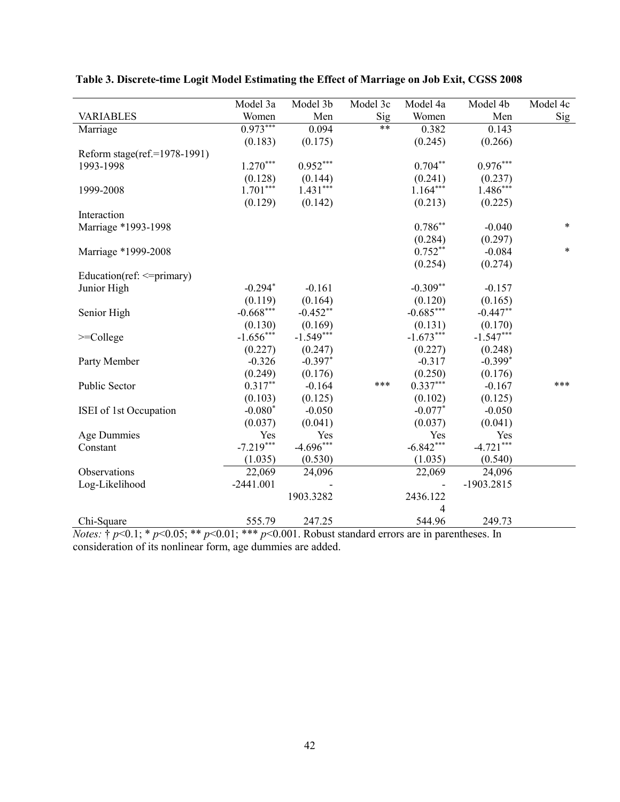|                                 | Model 3a    | Model 3b    | Model 3c | Model 4a       | Model 4b    | Model 4c |
|---------------------------------|-------------|-------------|----------|----------------|-------------|----------|
| <b>VARIABLES</b>                | Women       | Men         | Sig      | Women          | Men         | Sig      |
| Marriage                        | $0.973***$  | 0.094       | $***$    | 0.382          | 0.143       |          |
|                                 | (0.183)     | (0.175)     |          | (0.245)        | (0.266)     |          |
| Reform stage(ref.=1978-1991)    |             |             |          |                |             |          |
| 1993-1998                       | $1.270***$  | $0.952***$  |          | $0.704**$      | $0.976***$  |          |
|                                 | (0.128)     | (0.144)     |          | (0.241)        | (0.237)     |          |
| 1999-2008                       | $1.701***$  | $1.431***$  |          | $1.164***$     | $1.486***$  |          |
|                                 | (0.129)     | (0.142)     |          | (0.213)        | (0.225)     |          |
| Interaction                     |             |             |          |                |             |          |
| Marriage *1993-1998             |             |             |          | $0.786**$      | $-0.040$    | $\ast$   |
|                                 |             |             |          | (0.284)        | (0.297)     |          |
| Marriage *1999-2008             |             |             |          | $0.752**$      | $-0.084$    | $\ast$   |
|                                 |             |             |          | (0.254)        | (0.274)     |          |
| Education(ref: $\leq$ =primary) |             |             |          |                |             |          |
| Junior High                     | $-0.294*$   | $-0.161$    |          | $-0.309**$     | $-0.157$    |          |
|                                 | (0.119)     | (0.164)     |          | (0.120)        | (0.165)     |          |
| Senior High                     | $-0.668***$ | $-0.452**$  |          | $-0.685***$    | $-0.447**$  |          |
|                                 | (0.130)     | (0.169)     |          | (0.131)        | (0.170)     |          |
| $>=$ College                    | $-1.656***$ | $-1.549***$ |          | $-1.673***$    | $-1.547***$ |          |
|                                 | (0.227)     | (0.247)     |          | (0.227)        | (0.248)     |          |
| Party Member                    | $-0.326$    | $-0.397*$   |          | $-0.317$       | $-0.399*$   |          |
|                                 | (0.249)     | (0.176)     |          | (0.250)        | (0.176)     |          |
| Public Sector                   | $0.317**$   | $-0.164$    | ***      | $0.337***$     | $-0.167$    | ***      |
|                                 | (0.103)     | (0.125)     |          | (0.102)        | (0.125)     |          |
| ISEI of 1st Occupation          | $-0.080*$   | $-0.050$    |          | $-0.077*$      | $-0.050$    |          |
|                                 | (0.037)     | (0.041)     |          | (0.037)        | (0.041)     |          |
| <b>Age Dummies</b>              | Yes         | Yes         |          | Yes            | Yes         |          |
| Constant                        | $-7.219***$ | $-4.696***$ |          | $-6.842***$    | $-4.721***$ |          |
|                                 | (1.035)     | (0.530)     |          | (1.035)        | (0.540)     |          |
| Observations                    | 22,069      | 24,096      |          | 22,069         | 24,096      |          |
| Log-Likelihood                  | $-2441.001$ |             |          |                | -1903.2815  |          |
|                                 |             | 1903.3282   |          | 2436.122       |             |          |
|                                 |             |             |          | $\overline{4}$ |             |          |
| Chi-Square                      | 555.79      | 247.25      |          | 544.96         | 249.73      |          |

| Table 3. Discrete-time Logit Model Estimating the Effect of Marriage on Job Exit, CGSS 2008 |  |  |
|---------------------------------------------------------------------------------------------|--|--|
|                                                                                             |  |  |

*Notes:* † *p*<0.1; \* *p*<0.05; \*\* *p*<0.01; \*\*\* *p*<0.001. Robust standard errors are in parentheses. In consideration of its nonlinear form, age dummies are added.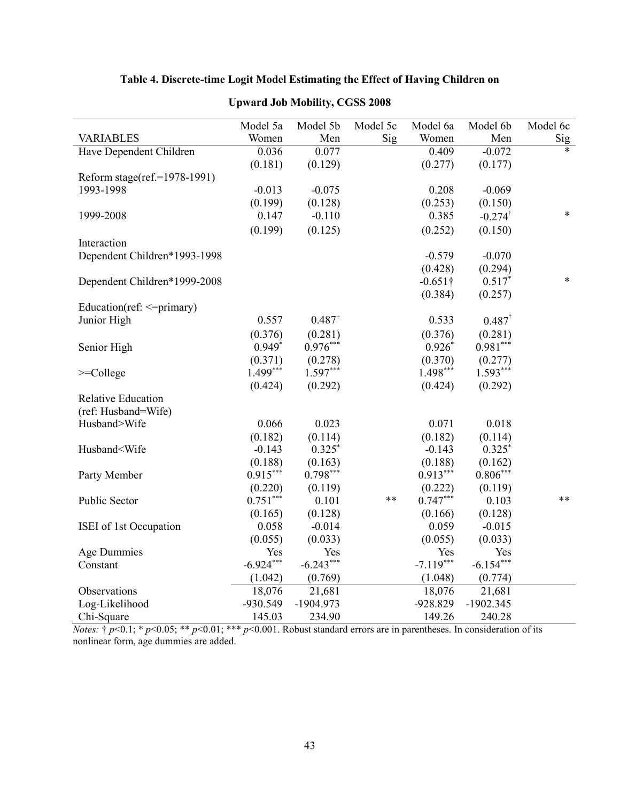# **Table 4. Discrete-time Logit Model Estimating the Effect of Having Children on**

|                                                                                                                                                                 | Model 5a    | Model 5b    | Model 5c | Model 6a        | Model 6b              | Model 6c |
|-----------------------------------------------------------------------------------------------------------------------------------------------------------------|-------------|-------------|----------|-----------------|-----------------------|----------|
| <b>VARIABLES</b>                                                                                                                                                | Women       | Men         | Sig      | Women           | Men                   | Sig      |
| Have Dependent Children                                                                                                                                         | 0.036       | 0.077       |          | 0.409           | $-0.072$              | $\star$  |
|                                                                                                                                                                 | (0.181)     | (0.129)     |          | (0.277)         | (0.177)               |          |
| Reform stage(ref.=1978-1991)                                                                                                                                    |             |             |          |                 |                       |          |
| 1993-1998                                                                                                                                                       | $-0.013$    | $-0.075$    |          | 0.208           | $-0.069$              |          |
|                                                                                                                                                                 | (0.199)     | (0.128)     |          | (0.253)         | (0.150)               |          |
| 1999-2008                                                                                                                                                       | 0.147       | $-0.110$    |          | 0.385           | $-0.274$ <sup>†</sup> | $\ast$   |
|                                                                                                                                                                 | (0.199)     | (0.125)     |          | (0.252)         | (0.150)               |          |
| Interaction                                                                                                                                                     |             |             |          |                 |                       |          |
| Dependent Children*1993-1998                                                                                                                                    |             |             |          | $-0.579$        | $-0.070$              |          |
|                                                                                                                                                                 |             |             |          | (0.428)         | (0.294)               |          |
| Dependent Children*1999-2008                                                                                                                                    |             |             |          | $-0.651\dagger$ | $0.517*$              | $\ast$   |
|                                                                                                                                                                 |             |             |          | (0.384)         | (0.257)               |          |
| Education(ref: $\leq$ =primary)                                                                                                                                 |             |             |          |                 |                       |          |
| Junior High                                                                                                                                                     | 0.557       | $0.487^{+}$ |          | 0.533           | $0.487^{\dagger}$     |          |
|                                                                                                                                                                 | (0.376)     | (0.281)     |          | (0.376)         | (0.281)               |          |
| Senior High                                                                                                                                                     | $0.949*$    | $0.976***$  |          | $0.926*$        | $0.981***$            |          |
|                                                                                                                                                                 | (0.371)     | (0.278)     |          | (0.370)         | (0.277)               |          |
| $>=$ College                                                                                                                                                    | $1.499***$  | $1.597***$  |          | $1.498***$      | $1.593***$            |          |
|                                                                                                                                                                 | (0.424)     | (0.292)     |          | (0.424)         | (0.292)               |          |
| <b>Relative Education</b>                                                                                                                                       |             |             |          |                 |                       |          |
| (ref: Husband=Wife)                                                                                                                                             |             |             |          |                 |                       |          |
| Husband>Wife                                                                                                                                                    | 0.066       | 0.023       |          | 0.071           | 0.018                 |          |
|                                                                                                                                                                 | (0.182)     | (0.114)     |          | (0.182)         | (0.114)               |          |
| Husband <wife< td=""><td><math>-0.143</math></td><td><math>0.325*</math></td><td></td><td><math>-0.143</math></td><td><math>0.325*</math></td><td></td></wife<> | $-0.143$    | $0.325*$    |          | $-0.143$        | $0.325*$              |          |
|                                                                                                                                                                 | (0.188)     | (0.163)     |          | (0.188)         | (0.162)               |          |
| Party Member                                                                                                                                                    | $0.915***$  | $0.798***$  |          | $0.913***$      | $0.806***$            |          |
|                                                                                                                                                                 | (0.220)     | (0.119)     |          | (0.222)         | (0.119)               |          |
| Public Sector                                                                                                                                                   | $0.751***$  | 0.101       | **       | $0.747***$      | 0.103                 | **       |
|                                                                                                                                                                 | (0.165)     | (0.128)     |          | (0.166)         | (0.128)               |          |
| ISEI of 1st Occupation                                                                                                                                          | 0.058       | $-0.014$    |          | 0.059           | $-0.015$              |          |
|                                                                                                                                                                 | (0.055)     | (0.033)     |          | (0.055)         | (0.033)               |          |
| <b>Age Dummies</b>                                                                                                                                              | Yes         | Yes         |          | Yes             | Yes                   |          |
| Constant                                                                                                                                                        | $-6.924***$ | $-6.243***$ |          | $-7.119***$     | $-6.154***$           |          |
|                                                                                                                                                                 | (1.042)     | (0.769)     |          | (1.048)         | (0.774)               |          |
| Observations                                                                                                                                                    | 18,076      | 21,681      |          | 18,076          | 21,681                |          |
|                                                                                                                                                                 | -930.549    | $-1904.973$ |          | $-928.829$      | $-1902.345$           |          |
| Log-Likelihood                                                                                                                                                  |             | 234.90      |          |                 |                       |          |
| Chi-Square                                                                                                                                                      | 145.03      |             |          | 149.26          | 240.28                |          |

# **Upward Job Mobility, CGSS 2008**

*Notes:* † *p*<0.1; \* *p*<0.05; \*\* *p*<0.01; \*\*\* *p*<0.001. Robust standard errors are in parentheses. In consideration of its nonlinear form, age dummies are added.